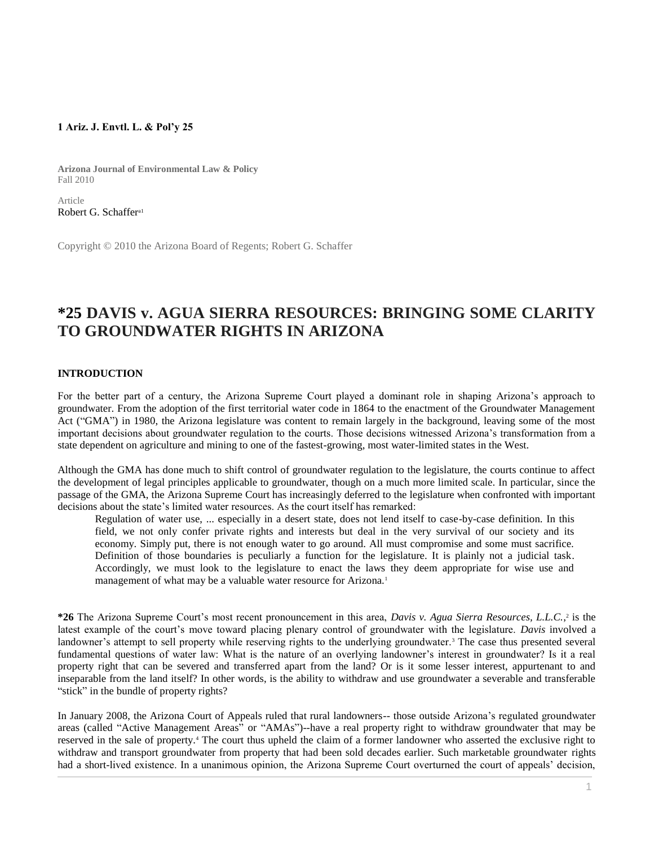## **1 Ariz. J. Envtl. L. & Pol'y 25**

**Arizona Journal of Environmental Law & Policy** Fall 2010

Article [Robert G. Schaffer](http://www.westlaw.com/Link/Document/FullText?findType=h&pubNum=176284&cite=0102953601&originatingDoc=I0ecc82962df011e18b05fdf15589d8e8&refType=RQ&originationContext=document&vr=3.0&rs=cblt1.0&transitionType=DocumentItem&contextData=(sc.Search))<sup>a1</sup>

Copyright © 2010 the Arizona Board of Regents; Robert G. Schaffer

# **\*25 DAVIS v. AGUA SIERRA RESOURCES: BRINGING SOME CLARITY TO GROUNDWATER RIGHTS IN ARIZONA**

# **INTRODUCTION**

For the better part of a century, the Arizona Supreme Court played a dominant role in shaping Arizona's approach to groundwater. From the adoption of the first territorial water code in 1864 to the enactment of the Groundwater Management Act ("GMA") in 1980, the Arizona legislature was content to remain largely in the background, leaving some of the most important decisions about groundwater regulation to the courts. Those decisions witnessed Arizona's transformation from a state dependent on agriculture and mining to one of the fastest-growing, most water-limited states in the West.

Although the GMA has done much to shift control of groundwater regulation to the legislature, the courts continue to affect the development of legal principles applicable to groundwater, though on a much more limited scale. In particular, since the passage of the GMA, the Arizona Supreme Court has increasingly deferred to the legislature when confronted with important decisions about the state's limited water resources. As the court itself has remarked:

Regulation of water use, ... especially in a desert state, does not lend itself to case-by-case definition. In this field, we not only confer private rights and interests but deal in the very survival of our society and its economy. Simply put, there is not enough water to go around. All must compromise and some must sacrifice. Definition of those boundaries is peculiarly a function for the legislature. It is plainly not a judicial task. Accordingly, we must look to the legislature to enact the laws they deem appropriate for wise use and management of what may be a valuable water resource for Arizona.<sup>1</sup>

**\*26** The Arizona Supreme Court's most recent pronouncement in this area, *Davis v. Agua Sierra Resources, L.L.C.*,<sup>2</sup> is the latest example of the court's move toward placing plenary control of groundwater with the legislature. *Davis* involved a landowner's attempt to sell property while reserving rights to the underlying groundwater.<sup>3</sup> The case thus presented several fundamental questions of water law: What is the nature of an overlying landowner's interest in groundwater? Is it a real property right that can be severed and transferred apart from the land? Or is it some lesser interest, appurtenant to and inseparable from the land itself? In other words, is the ability to withdraw and use groundwater a severable and transferable "stick" in the bundle of property rights?

In January 2008, the Arizona Court of Appeals ruled that rural landowners-- those outside Arizona's regulated groundwater areas (called "Active Management Areas" or "AMAs")--have a real property right to withdraw groundwater that may be reserved in the sale of property.<sup>4</sup> The court thus upheld the claim of a former landowner who asserted the exclusive right to withdraw and transport groundwater from property that had been sold decades earlier. Such marketable groundwater rights had a short-lived existence. In a unanimous opinion, the Arizona Supreme Court overturned the court of appeals' decision,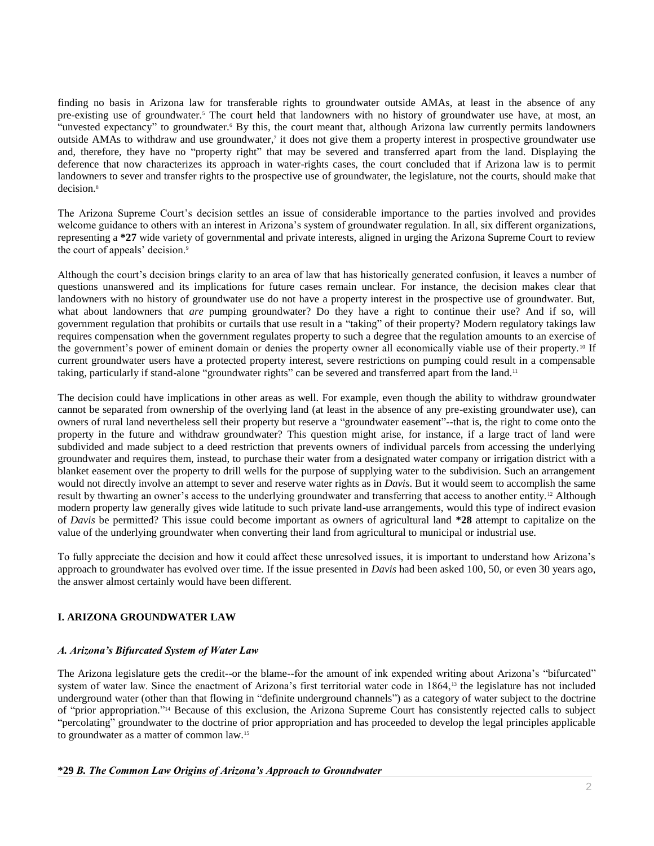finding no basis in Arizona law for transferable rights to groundwater outside AMAs, at least in the absence of any pre-existing use of groundwater.<sup>5</sup> The court held that landowners with no history of groundwater use have, at most, an "unvested expectancy" to groundwater.<sup>6</sup> By this, the court meant that, although Arizona law currently permits landowners outside AMAs to withdraw and use groundwater,<sup>7</sup> it does not give them a property interest in prospective groundwater use and, therefore, they have no "property right" that may be severed and transferred apart from the land. Displaying the deference that now characterizes its approach in water-rights cases, the court concluded that if Arizona law is to permit landowners to sever and transfer rights to the prospective use of groundwater, the legislature, not the courts, should make that decision.<sup>8</sup>

The Arizona Supreme Court's decision settles an issue of considerable importance to the parties involved and provides welcome guidance to others with an interest in Arizona's system of groundwater regulation. In all, six different organizations, representing a **\*27** wide variety of governmental and private interests, aligned in urging the Arizona Supreme Court to review the court of appeals' decision.<sup>9</sup>

Although the court's decision brings clarity to an area of law that has historically generated confusion, it leaves a number of questions unanswered and its implications for future cases remain unclear. For instance, the decision makes clear that landowners with no history of groundwater use do not have a property interest in the prospective use of groundwater. But, what about landowners that *are* pumping groundwater? Do they have a right to continue their use? And if so, will government regulation that prohibits or curtails that use result in a "taking" of their property? Modern regulatory takings law requires compensation when the government regulates property to such a degree that the regulation amounts to an exercise of the government's power of eminent domain or denies the property owner all economically viable use of their property.<sup>10</sup> If current groundwater users have a protected property interest, severe restrictions on pumping could result in a compensable taking, particularly if stand-alone "groundwater rights" can be severed and transferred apart from the land.<sup>11</sup>

The decision could have implications in other areas as well. For example, even though the ability to withdraw groundwater cannot be separated from ownership of the overlying land (at least in the absence of any pre-existing groundwater use), can owners of rural land nevertheless sell their property but reserve a "groundwater easement"--that is, the right to come onto the property in the future and withdraw groundwater? This question might arise, for instance, if a large tract of land were subdivided and made subject to a deed restriction that prevents owners of individual parcels from accessing the underlying groundwater and requires them, instead, to purchase their water from a designated water company or irrigation district with a blanket easement over the property to drill wells for the purpose of supplying water to the subdivision. Such an arrangement would not directly involve an attempt to sever and reserve water rights as in *Davis*. But it would seem to accomplish the same result by thwarting an owner's access to the underlying groundwater and transferring that access to another entity. <sup>12</sup> Although modern property law generally gives wide latitude to such private land-use arrangements, would this type of indirect evasion of *Davis* be permitted? This issue could become important as owners of agricultural land **\*28** attempt to capitalize on the value of the underlying groundwater when converting their land from agricultural to municipal or industrial use.

To fully appreciate the decision and how it could affect these unresolved issues, it is important to understand how Arizona's approach to groundwater has evolved over time. If the issue presented in *Davis* had been asked 100, 50, or even 30 years ago, the answer almost certainly would have been different.

# **I. ARIZONA GROUNDWATER LAW**

## *A. Arizona's Bifurcated System of Water Law*

The Arizona legislature gets the credit--or the blame--for the amount of ink expended writing about Arizona's "bifurcated" system of water law. Since the enactment of Arizona's first territorial water code in 1864,<sup>13</sup> the legislature has not included underground water (other than that flowing in "definite underground channels") as a category of water subject to the doctrine of "prior appropriation." <sup>14</sup> Because of this exclusion, the Arizona Supreme Court has consistently rejected calls to subject "percolating" groundwater to the doctrine of prior appropriation and has proceeded to develop the legal principles applicable to groundwater as a matter of common law.<sup>15</sup>

#### **\*29** *B. The Common Law Origins of Arizona's Approach to Groundwater*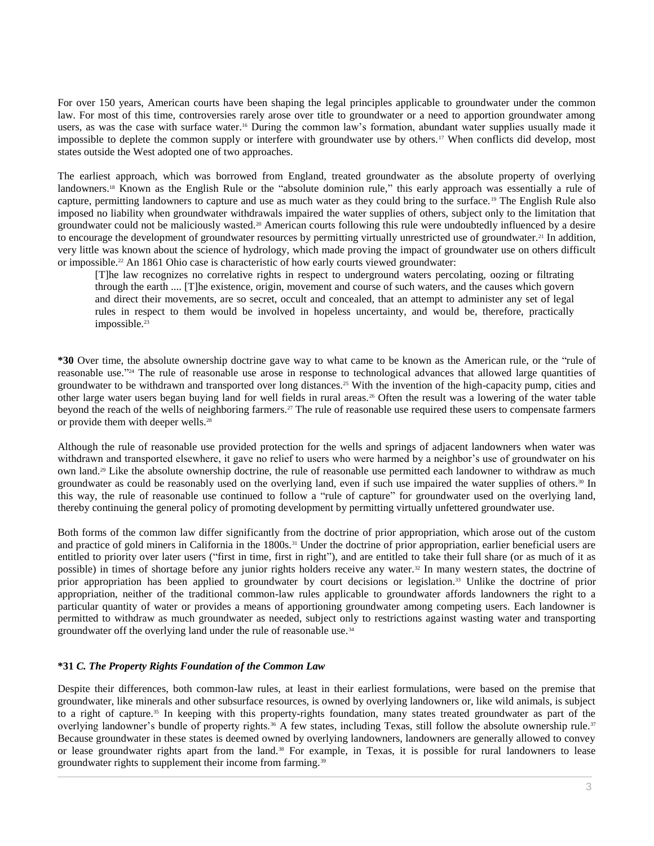For over 150 years, American courts have been shaping the legal principles applicable to groundwater under the common law. For most of this time, controversies rarely arose over title to groundwater or a need to apportion groundwater among users, as was the case with surface water.<sup>16</sup> During the common law's formation, abundant water supplies usually made it impossible to deplete the common supply or interfere with groundwater use by others.<sup>17</sup> When conflicts did develop, most states outside the West adopted one of two approaches.

The earliest approach, which was borrowed from England, treated groundwater as the absolute property of overlying landowners.<sup>18</sup> Known as the English Rule or the "absolute dominion rule," this early approach was essentially a rule of capture, permitting landowners to capture and use as much water as they could bring to the surface.<sup>19</sup> The English Rule also imposed no liability when groundwater withdrawals impaired the water supplies of others, subject only to the limitation that groundwater could not be maliciously wasted.<sup>20</sup> American courts following this rule were undoubtedly influenced by a desire to encourage the development of groundwater resources by permitting virtually unrestricted use of groundwater.<sup>21</sup> In addition, very little was known about the science of hydrology, which made proving the impact of groundwater use on others difficult or impossible.<sup>22</sup> An 1861 Ohio case is characteristic of how early courts viewed groundwater:

[T]he law recognizes no correlative rights in respect to underground waters percolating, oozing or filtrating through the earth .... [T]he existence, origin, movement and course of such waters, and the causes which govern and direct their movements, are so secret, occult and concealed, that an attempt to administer any set of legal rules in respect to them would be involved in hopeless uncertainty, and would be, therefore, practically impossible.<sup>23</sup>

**\*30** Over time, the absolute ownership doctrine gave way to what came to be known as the American rule, or the "rule of reasonable use."<sup>24</sup> The rule of reasonable use arose in response to technological advances that allowed large quantities of groundwater to be withdrawn and transported over long distances.<sup>25</sup> With the invention of the high-capacity pump, cities and other large water users began buying land for well fields in rural areas.<sup>26</sup> Often the result was a lowering of the water table beyond the reach of the wells of neighboring farmers.<sup>27</sup> The rule of reasonable use required these users to compensate farmers or provide them with deeper wells.<sup>28</sup>

Although the rule of reasonable use provided protection for the wells and springs of adjacent landowners when water was withdrawn and transported elsewhere, it gave no relief to users who were harmed by a neighbor's use of groundwater on his own land.<sup>29</sup> Like the absolute ownership doctrine, the rule of reasonable use permitted each landowner to withdraw as much groundwater as could be reasonably used on the overlying land, even if such use impaired the water supplies of others.<sup>30</sup> In this way, the rule of reasonable use continued to follow a "rule of capture" for groundwater used on the overlying land, thereby continuing the general policy of promoting development by permitting virtually unfettered groundwater use.

Both forms of the common law differ significantly from the doctrine of prior appropriation, which arose out of the custom and practice of gold miners in California in the 1800s.<sup>31</sup> Under the doctrine of prior appropriation, earlier beneficial users are entitled to priority over later users ("first in time, first in right"), and are entitled to take their full share (or as much of it as possible) in times of shortage before any junior rights holders receive any water.<sup>32</sup> In many western states, the doctrine of prior appropriation has been applied to groundwater by court decisions or legislation.<sup>33</sup> Unlike the doctrine of prior appropriation, neither of the traditional common-law rules applicable to groundwater affords landowners the right to a particular quantity of water or provides a means of apportioning groundwater among competing users. Each landowner is permitted to withdraw as much groundwater as needed, subject only to restrictions against wasting water and transporting groundwater off the overlying land under the rule of reasonable use.<sup>34</sup>

## **\*31** *C. The Property Rights Foundation of the Common Law*

Despite their differences, both common-law rules, at least in their earliest formulations, were based on the premise that groundwater, like minerals and other subsurface resources, is owned by overlying landowners or, like wild animals, is subject to a right of capture.<sup>35</sup> In keeping with this property-rights foundation, many states treated groundwater as part of the overlying landowner's bundle of property rights.<sup>36</sup> A few states, including Texas, still follow the absolute ownership rule.<sup>37</sup> Because groundwater in these states is deemed owned by overlying landowners, landowners are generally allowed to convey or lease groundwater rights apart from the land.<sup>38</sup> For example, in Texas, it is possible for rural landowners to lease groundwater rights to supplement their income from farming.<sup>39</sup>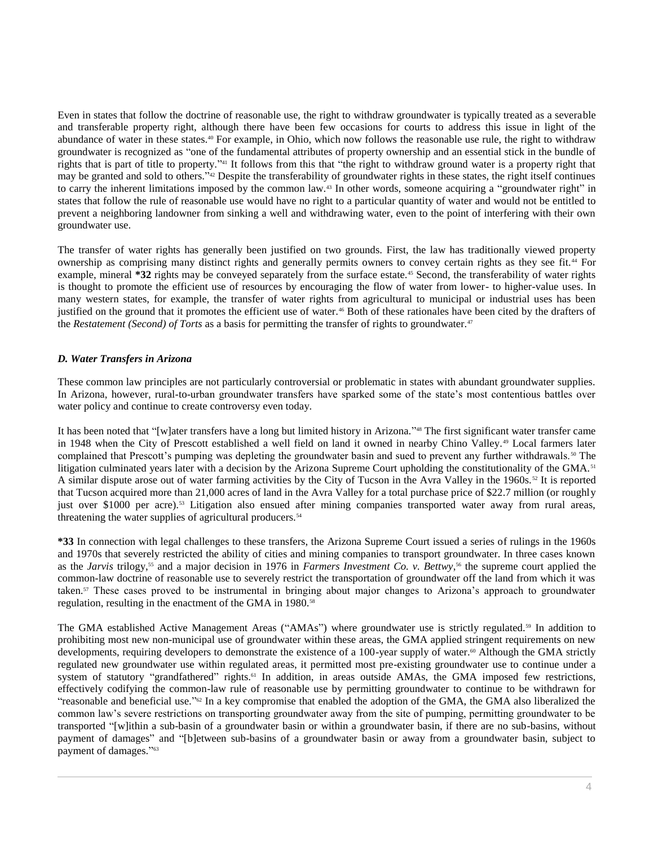Even in states that follow the doctrine of reasonable use, the right to withdraw groundwater is typically treated as a severable and transferable property right, although there have been few occasions for courts to address this issue in light of the abundance of water in these states.<sup>40</sup> For example, in Ohio, which now follows the reasonable use rule, the right to withdraw groundwater is recognized as "one of the fundamental attributes of property ownership and an essential stick in the bundle of rights that is part of title to property."<sup>41</sup> It follows from this that "the right to withdraw ground water is a property right that may be granted and sold to others.<sup>742</sup> Despite the transferability of groundwater rights in these states, the right itself continues to carry the inherent limitations imposed by the common law.<sup>43</sup> In other words, someone acquiring a "groundwater right" in states that follow the rule of reasonable use would have no right to a particular quantity of water and would not be entitled to prevent a neighboring landowner from sinking a well and withdrawing water, even to the point of interfering with their own groundwater use.

The transfer of water rights has generally been justified on two grounds. First, the law has traditionally viewed property ownership as comprising many distinct rights and generally permits owners to convey certain rights as they see fit.<sup>44</sup> For example, mineral **\*32** rights may be conveyed separately from the surface estate.<sup>45</sup> Second, the transferability of water rights is thought to promote the efficient use of resources by encouraging the flow of water from lower- to higher-value uses. In many western states, for example, the transfer of water rights from agricultural to municipal or industrial uses has been justified on the ground that it promotes the efficient use of water.<sup>46</sup> Both of these rationales have been cited by the drafters of the *Restatement (Second) of Torts* as a basis for permitting the transfer of rights to groundwater.<sup>47</sup>

## *D. Water Transfers in Arizona*

These common law principles are not particularly controversial or problematic in states with abundant groundwater supplies. In Arizona, however, rural-to-urban groundwater transfers have sparked some of the state's most contentious battles over water policy and continue to create controversy even today.

It has been noted that "[w]ater transfers have a long but limited history in Arizona."<sup>48</sup> The first significant water transfer came in 1948 when the City of Prescott established a well field on land it owned in nearby Chino Valley. <sup>49</sup> Local farmers later complained that Prescott's pumping was depleting the groundwater basin and sued to prevent any further withdrawals.<sup>50</sup> The litigation culminated years later with a decision by the Arizona Supreme Court upholding the constitutionality of the GMA.<sup>51</sup> A similar dispute arose out of water farming activities by the City of Tucson in the Avra Valley in the 1960s. <sup>52</sup> It is reported that Tucson acquired more than 21,000 acres of land in the Avra Valley for a total purchase price of \$22.7 million (or roughly just over \$1000 per acre).<sup>53</sup> Litigation also ensued after mining companies transported water away from rural areas, threatening the water supplies of agricultural producers.<sup>54</sup>

**\*33** In connection with legal challenges to these transfers, the Arizona Supreme Court issued a series of rulings in the 1960s and 1970s that severely restricted the ability of cities and mining companies to transport groundwater. In three cases known as the *Jarvis* trilogy,<sup>55</sup> and a major decision in 1976 in *Farmers Investment Co. v. Bettwy*,<sup>56</sup> the supreme court applied the common-law doctrine of reasonable use to severely restrict the transportation of groundwater off the land from which it was taken.<sup>57</sup> These cases proved to be instrumental in bringing about major changes to Arizona's approach to groundwater regulation, resulting in the enactment of the GMA in 1980.<sup>58</sup>

The GMA established Active Management Areas ("AMAs") where groundwater use is strictly regulated.<sup>59</sup> In addition to prohibiting most new non-municipal use of groundwater within these areas, the GMA applied stringent requirements on new developments, requiring developers to demonstrate the existence of a 100-year supply of water.<sup>60</sup> Although the GMA strictly regulated new groundwater use within regulated areas, it permitted most pre-existing groundwater use to continue under a system of statutory "grandfathered" rights.<sup>61</sup> In addition, in areas outside AMAs, the GMA imposed few restrictions, effectively codifying the common-law rule of reasonable use by permitting groundwater to continue to be withdrawn for "reasonable and beneficial use."<sup>62</sup> In a key compromise that enabled the adoption of the GMA, the GMA also liberalized the common law's severe restrictions on transporting groundwater away from the site of pumping, permitting groundwater to be transported "[w]ithin a sub-basin of a groundwater basin or within a groundwater basin, if there are no sub-basins, without payment of damages" and "[b]etween sub-basins of a groundwater basin or away from a groundwater basin, subject to payment of damages." 63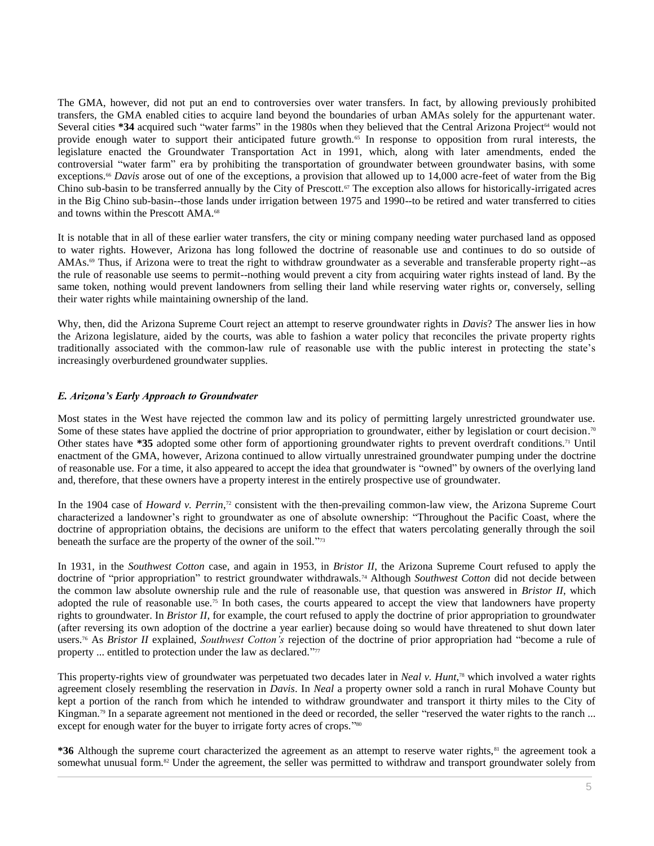The GMA, however, did not put an end to controversies over water transfers. In fact, by allowing previously prohibited transfers, the GMA enabled cities to acquire land beyond the boundaries of urban AMAs solely for the appurtenant water. Several cities **\*34** acquired such "water farms" in the 1980s when they believed that the Central Arizona Project<sup>64</sup> would not provide enough water to support their anticipated future growth.<sup>65</sup> In response to opposition from rural interests, the legislature enacted the Groundwater Transportation Act in 1991, which, along with later amendments, ended the controversial "water farm" era by prohibiting the transportation of groundwater between groundwater basins, with some exceptions.<sup>66</sup> *Davis* arose out of one of the exceptions, a provision that allowed up to 14,000 acre-feet of water from the Big Chino sub-basin to be transferred annually by the City of Prescott.<sup>67</sup> The exception also allows for historically-irrigated acres in the Big Chino sub-basin--those lands under irrigation between 1975 and 1990--to be retired and water transferred to cities and towns within the Prescott AMA.<sup>68</sup>

It is notable that in all of these earlier water transfers, the city or mining company needing water purchased land as opposed to water rights. However, Arizona has long followed the doctrine of reasonable use and continues to do so outside of AMAs. $\degree$  Thus, if Arizona were to treat the right to withdraw groundwater as a severable and transferable property right--as the rule of reasonable use seems to permit--nothing would prevent a city from acquiring water rights instead of land. By the same token, nothing would prevent landowners from selling their land while reserving water rights or, conversely, selling their water rights while maintaining ownership of the land.

Why, then, did the Arizona Supreme Court reject an attempt to reserve groundwater rights in *Davis*? The answer lies in how the Arizona legislature, aided by the courts, was able to fashion a water policy that reconciles the private property rights traditionally associated with the common-law rule of reasonable use with the public interest in protecting the state's increasingly overburdened groundwater supplies.

#### *E. Arizona's Early Approach to Groundwater*

Most states in the West have rejected the common law and its policy of permitting largely unrestricted groundwater use. Some of these states have applied the doctrine of prior appropriation to groundwater, either by legislation or court decision.<sup>70</sup> Other states have **\*35** adopted some other form of apportioning groundwater rights to prevent overdraft conditions.<sup>71</sup> Until enactment of the GMA, however, Arizona continued to allow virtually unrestrained groundwater pumping under the doctrine of reasonable use. For a time, it also appeared to accept the idea that groundwater is "owned" by owners of the overlying land and, therefore, that these owners have a property interest in the entirely prospective use of groundwater.

In the 1904 case of *Howard v. Perrin*,<sup>72</sup> consistent with the then-prevailing common-law view, the Arizona Supreme Court characterized a landowner's right to groundwater as one of absolute ownership: "Throughout the Pacific Coast, where the doctrine of appropriation obtains, the decisions are uniform to the effect that waters percolating generally through the soil beneath the surface are the property of the owner of the soil."73

In 1931, in the *Southwest Cotton* case, and again in 1953, in *Bristor II*, the Arizona Supreme Court refused to apply the doctrine of "prior appropriation" to restrict groundwater withdrawals.<sup>74</sup> Although *Southwest Cotton* did not decide between the common law absolute ownership rule and the rule of reasonable use, that question was answered in *Bristor II*, which adopted the rule of reasonable use.<sup>75</sup> In both cases, the courts appeared to accept the view that landowners have property rights to groundwater. In *Bristor II*, for example, the court refused to apply the doctrine of prior appropriation to groundwater (after reversing its own adoption of the doctrine a year earlier) because doing so would have threatened to shut down later users.<sup>76</sup> As *Bristor II* explained, *Southwest Cotton's* rejection of the doctrine of prior appropriation had "become a rule of property ... entitled to protection under the law as declared."<sup>77</sup>

This property-rights view of groundwater was perpetuated two decades later in *Neal v. Hunt*,<sup>78</sup> which involved a water rights agreement closely resembling the reservation in *Davis*. In *Neal* a property owner sold a ranch in rural Mohave County but kept a portion of the ranch from which he intended to withdraw groundwater and transport it thirty miles to the City of Kingman.<sup>79</sup> In a separate agreement not mentioned in the deed or recorded, the seller "reserved the water rights to the ranch ... except for enough water for the buyer to irrigate forty acres of crops."<sup>80</sup>

**\*36** Although the supreme court characterized the agreement as an attempt to reserve water rights,<sup>81</sup> the agreement took a somewhat unusual form.<sup>82</sup> Under the agreement, the seller was permitted to withdraw and transport groundwater solely from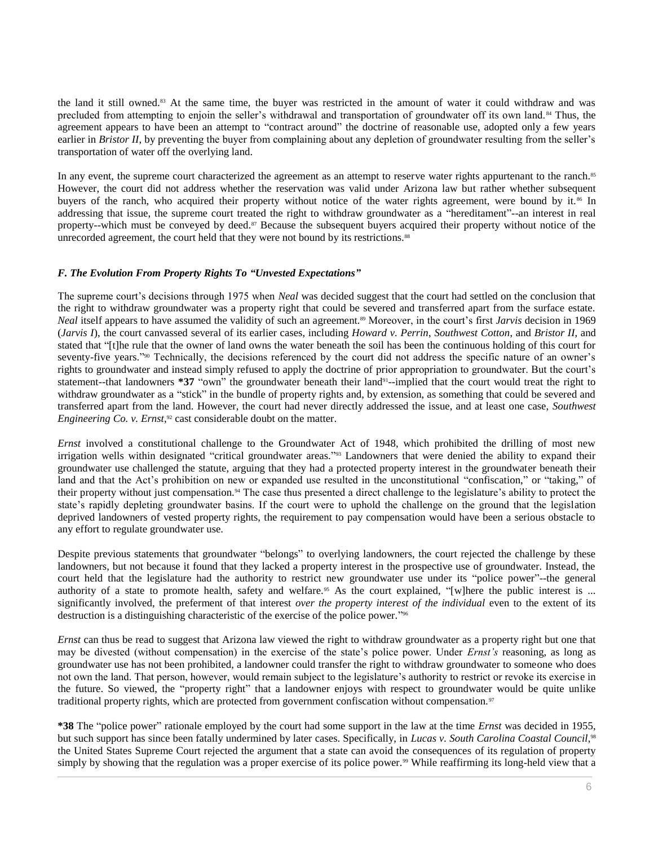the land it still owned.<sup>83</sup> At the same time, the buyer was restricted in the amount of water it could withdraw and was precluded from attempting to enjoin the seller's withdrawal and transportation of groundwater off its own land. <sup>84</sup> Thus, the agreement appears to have been an attempt to "contract around" the doctrine of reasonable use, adopted only a few years earlier in *Bristor II*, by preventing the buyer from complaining about any depletion of groundwater resulting from the seller's transportation of water off the overlying land.

In any event, the supreme court characterized the agreement as an attempt to reserve water rights appurtenant to the ranch.<sup>85</sup> However, the court did not address whether the reservation was valid under Arizona law but rather whether subsequent buyers of the ranch, who acquired their property without notice of the water rights agreement, were bound by it.<sup>86</sup> In addressing that issue, the supreme court treated the right to withdraw groundwater as a "hereditament"--an interest in real property--which must be conveyed by deed.<sup>87</sup> Because the subsequent buyers acquired their property without notice of the unrecorded agreement, the court held that they were not bound by its restrictions.<sup>88</sup>

## *F. The Evolution From Property Rights To "Unvested Expectations"*

The supreme court's decisions through 1975 when *Neal* was decided suggest that the court had settled on the conclusion that the right to withdraw groundwater was a property right that could be severed and transferred apart from the surface estate. *Neal* itself appears to have assumed the validity of such an agreement.<sup>89</sup> Moreover, in the court's first *Jarvis* decision in 1969 (*Jarvis I*), the court canvassed several of its earlier cases, including *Howard v. Perrin*, *Southwest Cotton*, and *Bristor II*, and stated that "[t]he rule that the owner of land owns the water beneath the soil has been the continuous holding of this court for seventy-five years."<sup>90</sup> Technically, the decisions referenced by the court did not address the specific nature of an owner's rights to groundwater and instead simply refused to apply the doctrine of prior appropriation to groundwater. But the court's statement--that landowners \*37 "own" the groundwater beneath their land<sup>91</sup>--implied that the court would treat the right to withdraw groundwater as a "stick" in the bundle of property rights and, by extension, as something that could be severed and transferred apart from the land. However, the court had never directly addressed the issue, and at least one case, *Southwest*  Engineering Co. v. Ernst,<sup>92</sup> cast considerable doubt on the matter.

*Ernst* involved a constitutional challenge to the Groundwater Act of 1948, which prohibited the drilling of most new irrigation wells within designated "critical groundwater areas." <sup>93</sup> Landowners that were denied the ability to expand their groundwater use challenged the statute, arguing that they had a protected property interest in the groundwater beneath their land and that the Act's prohibition on new or expanded use resulted in the unconstitutional "confiscation," or "taking," of their property without just compensation.<sup>94</sup> The case thus presented a direct challenge to the legislature's ability to protect the state's rapidly depleting groundwater basins. If the court were to uphold the challenge on the ground that the legislation deprived landowners of vested property rights, the requirement to pay compensation would have been a serious obstacle to any effort to regulate groundwater use.

Despite previous statements that groundwater "belongs" to overlying landowners, the court rejected the challenge by these landowners, but not because it found that they lacked a property interest in the prospective use of groundwater. Instead, the court held that the legislature had the authority to restrict new groundwater use under its "police power"--the general authority of a state to promote health, safety and welfare.<sup>95</sup> As the court explained, "[w]here the public interest is ... significantly involved, the preferment of that interest *over the property interest of the individual* even to the extent of its destruction is a distinguishing characteristic of the exercise of the police power." 96

*Ernst* can thus be read to suggest that Arizona law viewed the right to withdraw groundwater as a property right but one that may be divested (without compensation) in the exercise of the state's police power. Under *Ernst's* reasoning, as long as groundwater use has not been prohibited, a landowner could transfer the right to withdraw groundwater to someone who does not own the land. That person, however, would remain subject to the legislature's authority to restrict or revoke its exercise in the future. So viewed, the "property right" that a landowner enjoys with respect to groundwater would be quite unlike traditional property rights, which are protected from government confiscation without compensation.<sup>97</sup>

**\*38** The "police power" rationale employed by the court had some support in the law at the time *Ernst* was decided in 1955, but such support has since been fatally undermined by later cases. Specifically, in *Lucas v. South Carolina Coastal Council*,<sup>98</sup> the United States Supreme Court rejected the argument that a state can avoid the consequences of its regulation of property simply by showing that the regulation was a proper exercise of its police power.<sup>99</sup> While reaffirming its long-held view that a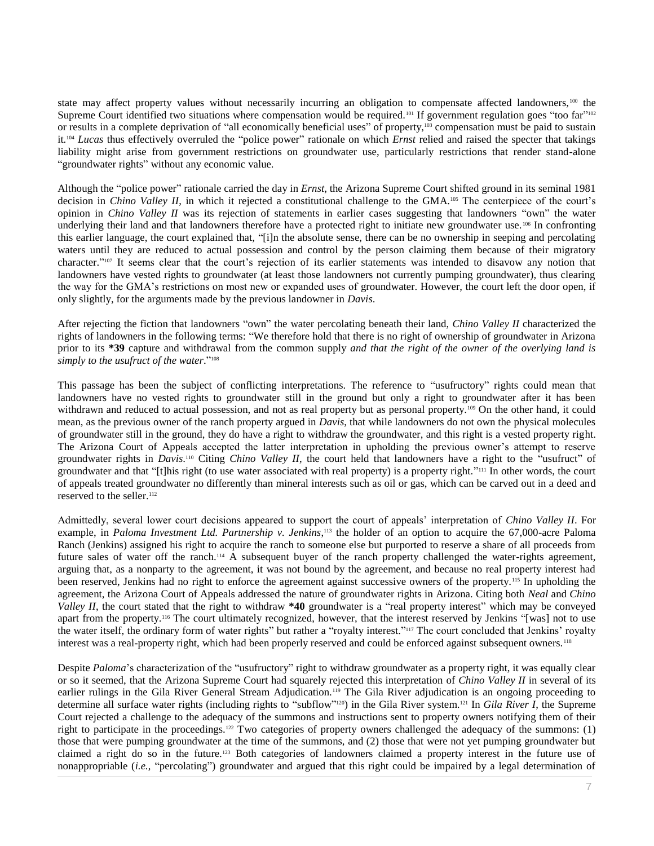state may affect property values without necessarily incurring an obligation to compensate affected landowners,  $100$  the Supreme Court identified two situations where compensation would be required.<sup>101</sup> If government regulation goes "too far"<sup>102</sup> or results in a complete deprivation of "all economically beneficial uses" of property,<sup>103</sup> compensation must be paid to sustain it.<sup>104</sup> *Lucas* thus effectively overruled the "police power" rationale on which *Ernst* relied and raised the specter that takings liability might arise from government restrictions on groundwater use, particularly restrictions that render stand-alone "groundwater rights" without any economic value.

Although the "police power" rationale carried the day in *Ernst*, the Arizona Supreme Court shifted ground in its seminal 1981 decision in *Chino Valley II*, in which it rejected a constitutional challenge to the GMA.<sup>105</sup> The centerpiece of the court's opinion in *Chino Valley II* was its rejection of statements in earlier cases suggesting that landowners "own" the water underlying their land and that landowners therefore have a protected right to initiate new groundwater use.<sup>106</sup> In confronting this earlier language, the court explained that, "[i]n the absolute sense, there can be no ownership in seeping and percolating waters until they are reduced to actual possession and control by the person claiming them because of their migratory character."<sup>107</sup> It seems clear that the court's rejection of its earlier statements was intended to disavow any notion that landowners have vested rights to groundwater (at least those landowners not currently pumping groundwater), thus clearing the way for the GMA's restrictions on most new or expanded uses of groundwater. However, the court left the door open, if only slightly, for the arguments made by the previous landowner in *Davis*.

After rejecting the fiction that landowners "own" the water percolating beneath their land, *Chino Valley II* characterized the rights of landowners in the following terms: "We therefore hold that there is no right of ownership of groundwater in Arizona prior to its **\*39** capture and withdrawal from the common supply *and that the right of the owner of the overlying land is*  simply to the usufruct of the water."<sup>108</sup>

This passage has been the subject of conflicting interpretations. The reference to "usufructory" rights could mean that landowners have no vested rights to groundwater still in the ground but only a right to groundwater after it has been withdrawn and reduced to actual possession, and not as real property but as personal property.<sup>109</sup> On the other hand, it could mean, as the previous owner of the ranch property argued in *Davis*, that while landowners do not own the physical molecules of groundwater still in the ground, they do have a right to withdraw the groundwater, and this right is a vested property right. The Arizona Court of Appeals accepted the latter interpretation in upholding the previous owner's attempt to reserve groundwater rights in *Davis*. <sup>110</sup> Citing *Chino Valley II*, the court held that landowners have a right to the "usufruct" of groundwater and that "[t]his right (to use water associated with real property) is a property right."<sup>111</sup> In other words, the court of appeals treated groundwater no differently than mineral interests such as oil or gas, which can be carved out in a deed and reserved to the seller.<sup>112</sup>

Admittedly, several lower court decisions appeared to support the court of appeals' interpretation of *Chino Valley II*. For example, in *Paloma Investment Ltd. Partnership v. Jenkins*, <sup>113</sup> the holder of an option to acquire the 67,000-acre Paloma Ranch (Jenkins) assigned his right to acquire the ranch to someone else but purported to reserve a share of all proceeds from future sales of water off the ranch.<sup>114</sup> A subsequent buyer of the ranch property challenged the water-rights agreement, arguing that, as a nonparty to the agreement, it was not bound by the agreement, and because no real property interest had been reserved, Jenkins had no right to enforce the agreement against successive owners of the property.<sup>115</sup> In upholding the agreement, the Arizona Court of Appeals addressed the nature of groundwater rights in Arizona. Citing both *Neal* and *Chino Valley II*, the court stated that the right to withdraw **\*40** groundwater is a "real property interest" which may be conveyed apart from the property.<sup>116</sup> The court ultimately recognized, however, that the interest reserved by Jenkins "[was] not to use the water itself, the ordinary form of water rights" but rather a "royalty interest." <sup>117</sup> The court concluded that Jenkins' royalty interest was a real-property right, which had been properly reserved and could be enforced against subsequent owners.<sup>118</sup>

Despite *Paloma*'s characterization of the "usufructory" right to withdraw groundwater as a property right, it was equally clear or so it seemed, that the Arizona Supreme Court had squarely rejected this interpretation of *Chino Valley II* in several of its earlier rulings in the Gila River General Stream Adjudication.<sup>119</sup> The Gila River adjudication is an ongoing proceeding to determine all surface water rights (including rights to "subflow" <sup>120</sup>) in the Gila River system.<sup>121</sup> In *Gila River I*, the Supreme Court rejected a challenge to the adequacy of the summons and instructions sent to property owners notifying them of their right to participate in the proceedings.<sup>122</sup> Two categories of property owners challenged the adequacy of the summons: (1) those that were pumping groundwater at the time of the summons, and (2) those that were not yet pumping groundwater but claimed a right do so in the future.<sup>123</sup> Both categories of landowners claimed a property interest in the future use of nonappropriable (*i.e.*, "percolating") groundwater and argued that this right could be impaired by a legal determination of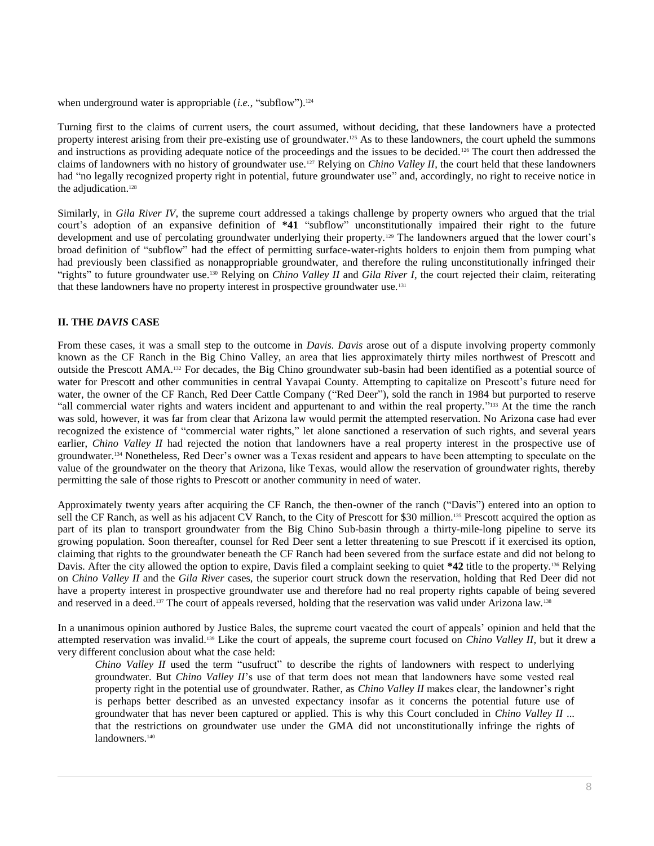when underground water is appropriable (*i.e.*, "subflow").<sup>124</sup>

Turning first to the claims of current users, the court assumed, without deciding, that these landowners have a protected property interest arising from their pre-existing use of groundwater.<sup>125</sup> As to these landowners, the court upheld the summons and instructions as providing adequate notice of the proceedings and the issues to be decided.<sup>126</sup> The court then addressed the claims of landowners with no history of groundwater use.<sup>127</sup> Relying on *Chino Valley II*, the court held that these landowners had "no legally recognized property right in potential, future groundwater use" and, accordingly, no right to receive notice in the adjudication.<sup>128</sup>

Similarly, in *Gila River IV*, the supreme court addressed a takings challenge by property owners who argued that the trial court's adoption of an expansive definition of **\*41** "subflow" unconstitutionally impaired their right to the future development and use of percolating groundwater underlying their property.<sup>129</sup> The landowners argued that the lower court's broad definition of "subflow" had the effect of permitting surface-water-rights holders to enjoin them from pumping what had previously been classified as nonappropriable groundwater, and therefore the ruling unconstitutionally infringed their "rights" to future groundwater use.<sup>130</sup> Relying on *Chino Valley II* and *Gila River I*, the court rejected their claim, reiterating that these landowners have no property interest in prospective groundwater use.<sup>131</sup>

#### **II. THE** *DAVIS* **CASE**

From these cases, it was a small step to the outcome in *Davis. Davis* arose out of a dispute involving property commonly known as the CF Ranch in the Big Chino Valley, an area that lies approximately thirty miles northwest of Prescott and outside the Prescott AMA.<sup>132</sup> For decades, the Big Chino groundwater sub-basin had been identified as a potential source of water for Prescott and other communities in central Yavapai County. Attempting to capitalize on Prescott's future need for water, the owner of the CF Ranch, Red Deer Cattle Company ("Red Deer"), sold the ranch in 1984 but purported to reserve "all commercial water rights and waters incident and appurtenant to and within the real property." <sup>133</sup> At the time the ranch was sold, however, it was far from clear that Arizona law would permit the attempted reservation. No Arizona case had ever recognized the existence of "commercial water rights," let alone sanctioned a reservation of such rights, and several years earlier, *Chino Valley II* had rejected the notion that landowners have a real property interest in the prospective use of groundwater.<sup>134</sup> Nonetheless, Red Deer's owner was a Texas resident and appears to have been attempting to speculate on the value of the groundwater on the theory that Arizona, like Texas, would allow the reservation of groundwater rights, thereby permitting the sale of those rights to Prescott or another community in need of water.

Approximately twenty years after acquiring the CF Ranch, the then-owner of the ranch ("Davis") entered into an option to sell the CF Ranch, as well as his adjacent CV Ranch, to the City of Prescott for \$30 million.<sup>135</sup> Prescott acquired the option as part of its plan to transport groundwater from the Big Chino Sub-basin through a thirty-mile-long pipeline to serve its growing population. Soon thereafter, counsel for Red Deer sent a letter threatening to sue Prescott if it exercised its option, claiming that rights to the groundwater beneath the CF Ranch had been severed from the surface estate and did not belong to Davis. After the city allowed the option to expire, Davis filed a complaint seeking to quiet **\*42** title to the property.<sup>136</sup> Relying on *Chino Valley II* and the *Gila River* cases, the superior court struck down the reservation, holding that Red Deer did not have a property interest in prospective groundwater use and therefore had no real property rights capable of being severed and reserved in a deed.<sup>137</sup> The court of appeals reversed, holding that the reservation was valid under Arizona law.<sup>138</sup>

In a unanimous opinion authored by Justice Bales, the supreme court vacated the court of appeals' opinion and held that the attempted reservation was invalid.<sup>139</sup> Like the court of appeals, the supreme court focused on *Chino Valley II*, but it drew a very different conclusion about what the case held:

*Chino Valley II* used the term "usufruct" to describe the rights of landowners with respect to underlying groundwater. But *Chino Valley II*'s use of that term does not mean that landowners have some vested real property right in the potential use of groundwater. Rather, as *Chino Valley II* makes clear, the landowner's right is perhaps better described as an unvested expectancy insofar as it concerns the potential future use of groundwater that has never been captured or applied. This is why this Court concluded in *Chino Valley II* ... that the restrictions on groundwater use under the GMA did not unconstitutionally infringe the rights of landowners.<sup>140</sup>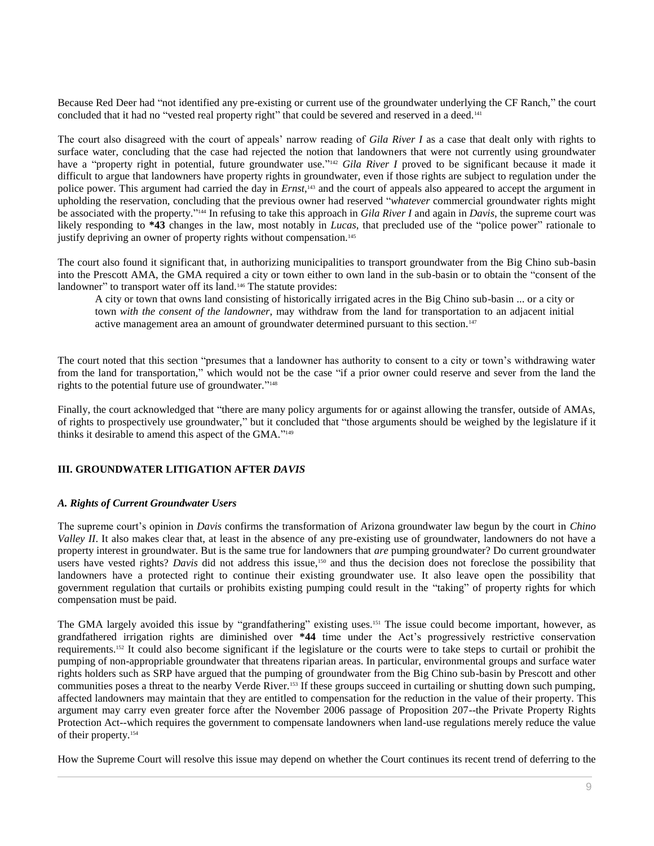Because Red Deer had "not identified any pre-existing or current use of the groundwater underlying the CF Ranch," the court concluded that it had no "vested real property right" that could be severed and reserved in a deed.<sup>141</sup>

The court also disagreed with the court of appeals' narrow reading of *Gila River I* as a case that dealt only with rights to surface water, concluding that the case had rejected the notion that landowners that were not currently using groundwater have a "property right in potential, future groundwater use."<sup>142</sup> Gila River I proved to be significant because it made it difficult to argue that landowners have property rights in groundwater, even if those rights are subject to regulation under the police power. This argument had carried the day in *Ernst*,<sup>143</sup> and the court of appeals also appeared to accept the argument in upholding the reservation, concluding that the previous owner had reserved "*whatever* commercial groundwater rights might be associated with the property." <sup>144</sup> In refusing to take this approach in *Gila River I* and again in *Davis*, the supreme court was likely responding to **\*43** changes in the law, most notably in *Lucas*, that precluded use of the "police power" rationale to justify depriving an owner of property rights without compensation.<sup>145</sup>

The court also found it significant that, in authorizing municipalities to transport groundwater from the Big Chino sub-basin into the Prescott AMA, the GMA required a city or town either to own land in the sub-basin or to obtain the "consent of the landowner" to transport water off its land.<sup>146</sup> The statute provides:

A city or town that owns land consisting of historically irrigated acres in the Big Chino sub-basin ... or a city or town *with the consent of the landowner*, may withdraw from the land for transportation to an adjacent initial active management area an amount of groundwater determined pursuant to this section.<sup>147</sup>

The court noted that this section "presumes that a landowner has authority to consent to a city or town's withdrawing water from the land for transportation," which would not be the case "if a prior owner could reserve and sever from the land the rights to the potential future use of groundwater."<sup>148</sup>

Finally, the court acknowledged that "there are many policy arguments for or against allowing the transfer, outside of AMAs, of rights to prospectively use groundwater," but it concluded that "those arguments should be weighed by the legislature if it thinks it desirable to amend this aspect of the GMA." 149

## **III. GROUNDWATER LITIGATION AFTER** *DAVIS*

## *A. Rights of Current Groundwater Users*

The supreme court's opinion in *Davis* confirms the transformation of Arizona groundwater law begun by the court in *Chino Valley II*. It also makes clear that, at least in the absence of any pre-existing use of groundwater, landowners do not have a property interest in groundwater. But is the same true for landowners that *are* pumping groundwater? Do current groundwater users have vested rights? *Davis* did not address this issue,<sup>150</sup> and thus the decision does not foreclose the possibility that landowners have a protected right to continue their existing groundwater use. It also leave open the possibility that government regulation that curtails or prohibits existing pumping could result in the "taking" of property rights for which compensation must be paid.

The GMA largely avoided this issue by "grandfathering" existing uses.<sup>151</sup> The issue could become important, however, as grandfathered irrigation rights are diminished over **\*44** time under the Act's progressively restrictive conservation requirements.<sup>152</sup> It could also become significant if the legislature or the courts were to take steps to curtail or prohibit the pumping of non-appropriable groundwater that threatens riparian areas. In particular, environmental groups and surface water rights holders such as SRP have argued that the pumping of groundwater from the Big Chino sub-basin by Prescott and other communities poses a threat to the nearby Verde River.<sup>153</sup> If these groups succeed in curtailing or shutting down such pumping, affected landowners may maintain that they are entitled to compensation for the reduction in the value of their property. This argument may carry even greater force after the November 2006 passage of Proposition 207--the Private Property Rights Protection Act--which requires the government to compensate landowners when land-use regulations merely reduce the value of their property.<sup>154</sup>

How the Supreme Court will resolve this issue may depend on whether the Court continues its recent trend of deferring to the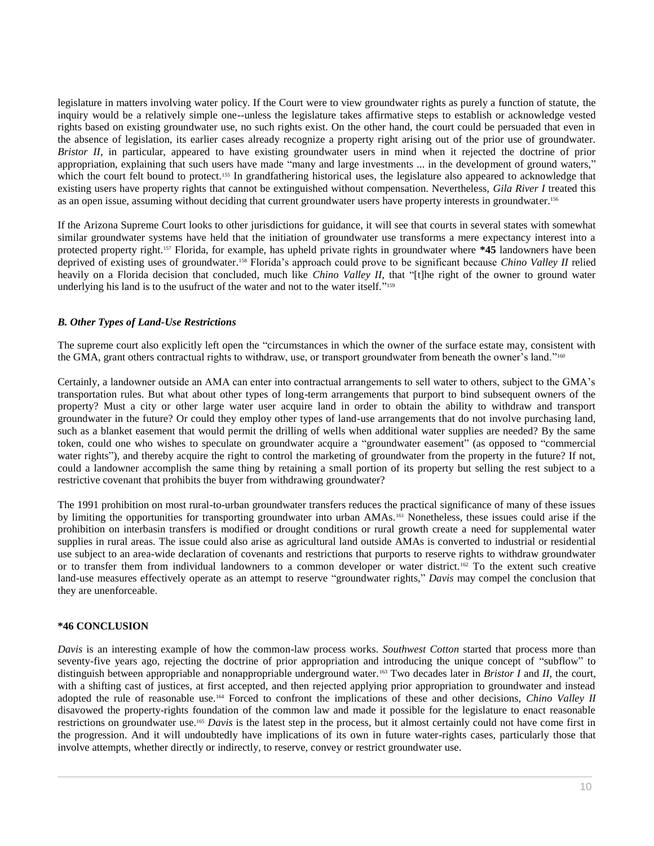legislature in matters involving water policy. If the Court were to view groundwater rights as purely a function of statute, the inquiry would be a relatively simple one--unless the legislature takes affirmative steps to establish or acknowledge vested rights based on existing groundwater use, no such rights exist. On the other hand, the court could be persuaded that even in the absence of legislation, its earlier cases already recognize a property right arising out of the prior use of groundwater. *Bristor II*, in particular, appeared to have existing groundwater users in mind when it rejected the doctrine of prior appropriation, explaining that such users have made "many and large investments ... in the development of ground waters," which the court felt bound to protect.<sup>155</sup> In grandfathering historical uses, the legislature also appeared to acknowledge that existing users have property rights that cannot be extinguished without compensation. Nevertheless, *Gila River I* treated this as an open issue, assuming without deciding that current groundwater users have property interests in groundwater.<sup>156</sup>

If the Arizona Supreme Court looks to other jurisdictions for guidance, it will see that courts in several states with somewhat similar groundwater systems have held that the initiation of groundwater use transforms a mere expectancy interest into a protected property right.<sup>157</sup> Florida, for example, has upheld private rights in groundwater where **\*45** landowners have been deprived of existing uses of groundwater.<sup>158</sup> Florida's approach could prove to be significant because *Chino Valley II* relied heavily on a Florida decision that concluded, much like *Chino Valley II*, that "[t]he right of the owner to ground water underlying his land is to the usufruct of the water and not to the water itself." 159

## *B. Other Types of Land-Use Restrictions*

The supreme court also explicitly left open the "circumstances in which the owner of the surface estate may, consistent with the GMA, grant others contractual rights to withdraw, use, or transport groundwater from beneath the owner's land."<sup>160</sup>

Certainly, a landowner outside an AMA can enter into contractual arrangements to sell water to others, subject to the GMA's transportation rules. But what about other types of long-term arrangements that purport to bind subsequent owners of the property? Must a city or other large water user acquire land in order to obtain the ability to withdraw and transport groundwater in the future? Or could they employ other types of land-use arrangements that do not involve purchasing land, such as a blanket easement that would permit the drilling of wells when additional water supplies are needed? By the same token, could one who wishes to speculate on groundwater acquire a "groundwater easement" (as opposed to "commercial water rights"), and thereby acquire the right to control the marketing of groundwater from the property in the future? If not, could a landowner accomplish the same thing by retaining a small portion of its property but selling the rest subject to a restrictive covenant that prohibits the buyer from withdrawing groundwater?

The 1991 prohibition on most rural-to-urban groundwater transfers reduces the practical significance of many of these issues by limiting the opportunities for transporting groundwater into urban AMAs.<sup>161</sup> Nonetheless, these issues could arise if the prohibition on interbasin transfers is modified or drought conditions or rural growth create a need for supplemental water supplies in rural areas. The issue could also arise as agricultural land outside AMAs is converted to industrial or residential use subject to an area-wide declaration of covenants and restrictions that purports to reserve rights to withdraw groundwater or to transfer them from individual landowners to a common developer or water district.<sup>162</sup> To the extent such creative land-use measures effectively operate as an attempt to reserve "groundwater rights," *Davis* may compel the conclusion that they are unenforceable.

#### **\*46 CONCLUSION**

*Davis* is an interesting example of how the common-law process works. *Southwest Cotton* started that process more than seventy-five years ago, rejecting the doctrine of prior appropriation and introducing the unique concept of "subflow" to distinguish between appropriable and nonappropriable underground water.<sup>163</sup> Two decades later in *Bristor I* and *II*, the court, with a shifting cast of justices, at first accepted, and then rejected applying prior appropriation to groundwater and instead adopted the rule of reasonable use.<sup>164</sup> Forced to confront the implications of these and other decisions, *Chino Valley II* disavowed the property-rights foundation of the common law and made it possible for the legislature to enact reasonable restrictions on groundwater use.<sup>165</sup> *Davis* is the latest step in the process, but it almost certainly could not have come first in the progression. And it will undoubtedly have implications of its own in future water-rights cases, particularly those that involve attempts, whether directly or indirectly, to reserve, convey or restrict groundwater use.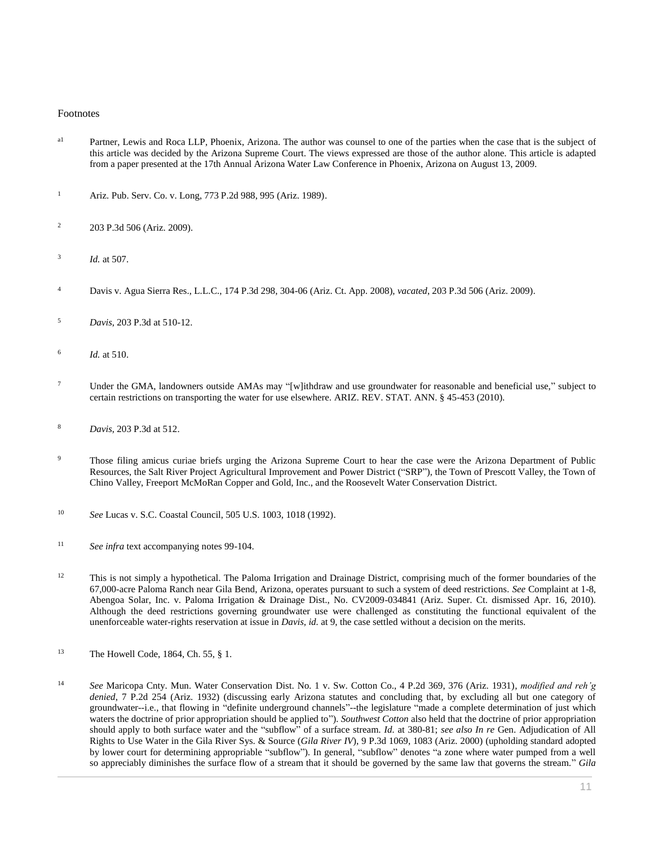#### Footnotes

- a<sup>1</sup> Partner, Lewis and Roca LLP, Phoenix, Arizona. The author was counsel to one of the parties when the case that is the subject of this article was decided by the Arizona Supreme Court. The views expressed are those of the author alone. This article is adapted from a paper presented at the 17th Annual Arizona Water Law Conference in Phoenix, Arizona on August 13, 2009.
- <sup>1</sup> [Ariz. Pub. Serv. Co. v. Long, 773 P.2d 988, 995 \(Ariz. 1989\).](http://www.westlaw.com/Link/Document/FullText?findType=Y&serNum=1989058344&pubNum=0000661&originatingDoc=I0ecc82962df011e18b05fdf15589d8e8&refType=RP&fi=co_pp_sp_661_995&originationContext=document&vr=3.0&rs=cblt1.0&transitionType=DocumentItem&contextData=(sc.Search)#co_pp_sp_661_995)
- <sup>2</sup> [203 P.3d 506 \(Ariz. 2009\).](http://www.westlaw.com/Link/Document/FullText?findType=Y&serNum=2018387096&pubNum=0004645&originatingDoc=I0ecc82962df011e18b05fdf15589d8e8&refType=RP&originationContext=document&vr=3.0&rs=cblt1.0&transitionType=DocumentItem&contextData=(sc.Search))
- 3 *Id.* [at 507.](http://www.westlaw.com/Link/Document/FullText?findType=Y&serNum=2018387096&originatingDoc=I0ecc82962df011e18b05fdf15589d8e8&refType=RP&originationContext=document&vr=3.0&rs=cblt1.0&transitionType=DocumentItem&contextData=(sc.Search))
- <sup>4</sup> [Davis v. Agua Sierra Res., L.L.C., 174 P.3d 298, 304-06 \(Ariz. Ct. App. 2008\),](http://www.westlaw.com/Link/Document/FullText?findType=Y&serNum=2014736199&pubNum=0004645&originatingDoc=I0ecc82962df011e18b05fdf15589d8e8&refType=RP&fi=co_pp_sp_4645_304&originationContext=document&vr=3.0&rs=cblt1.0&transitionType=DocumentItem&contextData=(sc.Search)#co_pp_sp_4645_304) *vacated*[, 203 P.3d 506 \(Ariz. 2009\).](http://www.westlaw.com/Link/Document/FullText?findType=Y&serNum=2018387096&pubNum=0004645&originatingDoc=I0ecc82962df011e18b05fdf15589d8e8&refType=RP&originationContext=document&vr=3.0&rs=cblt1.0&transitionType=DocumentItem&contextData=(sc.Search))
- <sup>5</sup> *Davis*[, 203 P.3d at 510-12.](http://www.westlaw.com/Link/Document/FullText?findType=Y&serNum=2018387096&pubNum=0004645&originatingDoc=I0ecc82962df011e18b05fdf15589d8e8&refType=RP&fi=co_pp_sp_4645_510&originationContext=document&vr=3.0&rs=cblt1.0&transitionType=DocumentItem&contextData=(sc.Search)#co_pp_sp_4645_510)
- 6 *Id.* [at 510.](http://www.westlaw.com/Link/Document/FullText?findType=Y&serNum=2018387096&originatingDoc=I0ecc82962df011e18b05fdf15589d8e8&refType=RP&originationContext=document&vr=3.0&rs=cblt1.0&transitionType=DocumentItem&contextData=(sc.Search))
- <sup>7</sup> Under the GMA, landowners outside AMAs may "[w]ithdraw and use groundwater for reasonable and beneficial use," subject to certain restrictions on transporting the water for use elsewhere. ARIZ. [REV. STAT. ANN. § 45-453](http://www.westlaw.com/Link/Document/FullText?findType=L&pubNum=1000251&cite=AZSTS45-453&originatingDoc=I0ecc82962df011e18b05fdf15589d8e8&refType=LQ&originationContext=document&vr=3.0&rs=cblt1.0&transitionType=DocumentItem&contextData=(sc.Search)) (2010).
- <sup>8</sup> *Davis*[, 203 P.3d at 512.](http://www.westlaw.com/Link/Document/FullText?findType=Y&serNum=2018387096&pubNum=0004645&originatingDoc=I0ecc82962df011e18b05fdf15589d8e8&refType=RP&fi=co_pp_sp_4645_512&originationContext=document&vr=3.0&rs=cblt1.0&transitionType=DocumentItem&contextData=(sc.Search)#co_pp_sp_4645_512)
- <sup>9</sup> Those filing amicus curiae briefs urging the Arizona Supreme Court to hear the case were the Arizona Department of Public Resources, the Salt River Project Agricultural Improvement and Power District ("SRP"), the Town of Prescott Valley, the Town of Chino Valley, Freeport McMoRan Copper and Gold, Inc., and the Roosevelt Water Conservation District.
- <sup>10</sup> *See* [Lucas v. S.C. Coastal Council, 505 U.S. 1003, 1018 \(1992\).](http://www.westlaw.com/Link/Document/FullText?findType=Y&serNum=1992116311&pubNum=0000780&originatingDoc=I0ecc82962df011e18b05fdf15589d8e8&refType=RP&fi=co_pp_sp_780_1018&originationContext=document&vr=3.0&rs=cblt1.0&transitionType=DocumentItem&contextData=(sc.Search)#co_pp_sp_780_1018)
- <sup>11</sup> *See infra* text accompanying notes 99-104.
- <sup>12</sup> This is not simply a hypothetical. The Paloma Irrigation and Drainage District, comprising much of the former boundaries of the 67,000-acre Paloma Ranch near Gila Bend, Arizona, operates pursuant to such a system of deed restrictions. *See* Complaint at 1-8, Abengoa Solar, Inc. v. Paloma Irrigation & Drainage Dist., No. CV2009-034841 (Ariz. Super. Ct. dismissed Apr. 16, 2010). Although the deed restrictions governing groundwater use were challenged as constituting the functional equivalent of the unenforceable water-rights reservation at issue in *Davis*, *id.* at 9, the case settled without a decision on the merits.
- <sup>13</sup> The Howell Code, 1864, Ch. 55, § 1.
- <sup>14</sup> *See* [Maricopa Cnty. Mun. Water Conservation Dist. No. 1 v. Sw. Cotton Co., 4 P.2d 369, 376 \(Ariz. 1931\),](http://www.westlaw.com/Link/Document/FullText?findType=Y&serNum=1931117530&pubNum=0000661&originatingDoc=I0ecc82962df011e18b05fdf15589d8e8&refType=RP&fi=co_pp_sp_661_376&originationContext=document&vr=3.0&rs=cblt1.0&transitionType=DocumentItem&contextData=(sc.Search)#co_pp_sp_661_376) *modified and reh'g denied*, [7 P.2d 254 \(Ariz. 1932\)](http://www.westlaw.com/Link/Document/FullText?findType=Y&serNum=1932117185&pubNum=0000661&originatingDoc=I0ecc82962df011e18b05fdf15589d8e8&refType=RP&originationContext=document&vr=3.0&rs=cblt1.0&transitionType=DocumentItem&contextData=(sc.Search)) (discussing early Arizona statutes and concluding that, by excluding all but one category of groundwater--i.e., that flowing in "definite underground channels"--the legislature "made a complete determination of just which waters the doctrine of prior appropriation should be applied to"). *Southwest Cotton* also held that the doctrine of prior appropriation should apply to both surface water and the "subflow" of a surface stream. *Id.* at 380-81; *see also In re* [Gen. Adjudication of All](http://www.westlaw.com/Link/Document/FullText?findType=Y&serNum=2000531688&pubNum=0004645&originatingDoc=I0ecc82962df011e18b05fdf15589d8e8&refType=RP&fi=co_pp_sp_4645_1083&originationContext=document&vr=3.0&rs=cblt1.0&transitionType=DocumentItem&contextData=(sc.Search)#co_pp_sp_4645_1083)  [Rights to Use Water in the Gila River Sys. & Source \(](http://www.westlaw.com/Link/Document/FullText?findType=Y&serNum=2000531688&pubNum=0004645&originatingDoc=I0ecc82962df011e18b05fdf15589d8e8&refType=RP&fi=co_pp_sp_4645_1083&originationContext=document&vr=3.0&rs=cblt1.0&transitionType=DocumentItem&contextData=(sc.Search)#co_pp_sp_4645_1083)*Gila River IV*), 9 P.3d 1069, 1083 (Ariz. 2000) (upholding standard adopted by lower court for determining appropriable "subflow"). In general, "subflow" denotes "a zone where water pumped from a well so appreciably diminishes the surface flow of a stream that it should be governed by the same law that governs the stream." *[Gila](http://www.westlaw.com/Link/Document/FullText?findType=Y&serNum=2000531688&pubNum=0004645&originatingDoc=I0ecc82962df011e18b05fdf15589d8e8&refType=RP&fi=co_pp_sp_4645_1073&originationContext=document&vr=3.0&rs=cblt1.0&transitionType=DocumentItem&contextData=(sc.Search)#co_pp_sp_4645_1073)*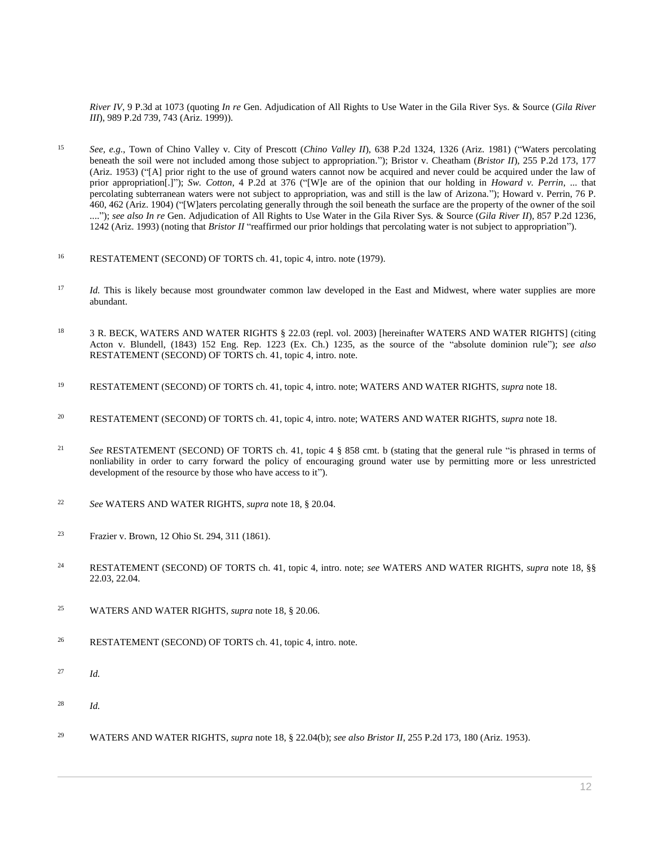*River IV*[, 9 P.3d at 1073](http://www.westlaw.com/Link/Document/FullText?findType=Y&serNum=2000531688&pubNum=0004645&originatingDoc=I0ecc82962df011e18b05fdf15589d8e8&refType=RP&fi=co_pp_sp_4645_1073&originationContext=document&vr=3.0&rs=cblt1.0&transitionType=DocumentItem&contextData=(sc.Search)#co_pp_sp_4645_1073) (quoting *In re* [Gen. Adjudication of All Rights to Use Water in the Gila River Sys. & Source \(](http://www.westlaw.com/Link/Document/FullText?findType=Y&serNum=1999255784&pubNum=0000661&originatingDoc=I0ecc82962df011e18b05fdf15589d8e8&refType=RP&fi=co_pp_sp_661_743&originationContext=document&vr=3.0&rs=cblt1.0&transitionType=DocumentItem&contextData=(sc.Search)#co_pp_sp_661_743)*Gila River III*[\), 989 P.2d 739, 743 \(Ariz. 1999\)\)](http://www.westlaw.com/Link/Document/FullText?findType=Y&serNum=1999255784&pubNum=0000661&originatingDoc=I0ecc82962df011e18b05fdf15589d8e8&refType=RP&fi=co_pp_sp_661_743&originationContext=document&vr=3.0&rs=cblt1.0&transitionType=DocumentItem&contextData=(sc.Search)#co_pp_sp_661_743).

- <sup>15</sup> *See, e.g.*, [Town of Chino Valley v. City of Prescott \(](http://www.westlaw.com/Link/Document/FullText?findType=Y&serNum=1982102592&pubNum=0000661&originatingDoc=I0ecc82962df011e18b05fdf15589d8e8&refType=RP&fi=co_pp_sp_661_1326&originationContext=document&vr=3.0&rs=cblt1.0&transitionType=DocumentItem&contextData=(sc.Search)#co_pp_sp_661_1326)*Chino Valley II*), 638 P.2d 1324, 1326 (Ariz. 1981) ("Waters percolating beneath the soil were not included among those subject to appropriation."); [Bristor v. Cheatham \(](http://www.westlaw.com/Link/Document/FullText?findType=Y&serNum=1953113383&pubNum=0000661&originatingDoc=I0ecc82962df011e18b05fdf15589d8e8&refType=RP&fi=co_pp_sp_661_177&originationContext=document&vr=3.0&rs=cblt1.0&transitionType=DocumentItem&contextData=(sc.Search)#co_pp_sp_661_177)*Bristor II*), 255 P.2d 173, 177 [\(Ariz. 1953\)](http://www.westlaw.com/Link/Document/FullText?findType=Y&serNum=1953113383&pubNum=0000661&originatingDoc=I0ecc82962df011e18b05fdf15589d8e8&refType=RP&fi=co_pp_sp_661_177&originationContext=document&vr=3.0&rs=cblt1.0&transitionType=DocumentItem&contextData=(sc.Search)#co_pp_sp_661_177) ("[A] prior right to the use of ground waters cannot now be acquired and never could be acquired under the law of prior appropriation[.]"); *Sw. Cotton*[, 4 P.2d](http://www.westlaw.com/Link/Document/FullText?findType=Y&serNum=1931117530&pubNum=0000661&originatingDoc=I0ecc82962df011e18b05fdf15589d8e8&refType=RP&fi=co_pp_sp_661_376&originationContext=document&vr=3.0&rs=cblt1.0&transitionType=DocumentItem&contextData=(sc.Search)#co_pp_sp_661_376) at 376 ("[W]e are of the opinion that our holding in *Howard v. Perrin*, ... that percolating subterranean waters were not subject to appropriation, was and still is the law of Arizona."); [Howard v. Perrin, 76 P.](http://www.westlaw.com/Link/Document/FullText?findType=Y&serNum=1904001641&pubNum=0000660&originatingDoc=I0ecc82962df011e18b05fdf15589d8e8&refType=RP&fi=co_pp_sp_660_462&originationContext=document&vr=3.0&rs=cblt1.0&transitionType=DocumentItem&contextData=(sc.Search)#co_pp_sp_660_462)  [460, 462 \(Ariz. 1904\)](http://www.westlaw.com/Link/Document/FullText?findType=Y&serNum=1904001641&pubNum=0000660&originatingDoc=I0ecc82962df011e18b05fdf15589d8e8&refType=RP&fi=co_pp_sp_660_462&originationContext=document&vr=3.0&rs=cblt1.0&transitionType=DocumentItem&contextData=(sc.Search)#co_pp_sp_660_462) ("[W]aters percolating generally through the soil beneath the surface are the property of the owner of the soil ...."); see also In re [Gen. Adjudication of All Rights to Use Water in the Gila River Sys. & Source \(](http://www.westlaw.com/Link/Document/FullText?findType=Y&serNum=1993156548&pubNum=0000661&originatingDoc=I0ecc82962df011e18b05fdf15589d8e8&refType=RP&fi=co_pp_sp_661_1242&originationContext=document&vr=3.0&rs=cblt1.0&transitionType=DocumentItem&contextData=(sc.Search)#co_pp_sp_661_1242)*Gila River II*), 857 P.2d 1236, [1242 \(Ariz. 1993\)](http://www.westlaw.com/Link/Document/FullText?findType=Y&serNum=1993156548&pubNum=0000661&originatingDoc=I0ecc82962df011e18b05fdf15589d8e8&refType=RP&fi=co_pp_sp_661_1242&originationContext=document&vr=3.0&rs=cblt1.0&transitionType=DocumentItem&contextData=(sc.Search)#co_pp_sp_661_1242) (noting that *Bristor II* "reaffirmed our prior holdings that percolating water is not subject to appropriation").
- 16 RESTATEMENT (SECOND) OF TORTS ch. 41, topic 4, intro. note (1979).
- <sup>17</sup> *Id.* This is likely because most groundwater common law developed in the East and Midwest, where water supplies are more abundant.
- 18 3 R. BECK, WATERS AND WATER RIGHTS § 22.03 (repl. vol. 2003) [hereinafter WATERS AND WATER RIGHTS] (citing Acton v. Blundell, (1843) 152 Eng. Rep. 1223 (Ex. Ch.) 1235, as the source of the "absolute dominion rule"); *see also* RESTATEMENT (SECOND) OF TORTS ch. 41, topic 4, intro. note.
- <sup>19</sup> RESTATEMENT (SECOND) OF TORTS ch. 41, topic 4, intro. note; WATERS AND WATER RIGHTS, *supra* note 18.
- <sup>20</sup> RESTATEMENT (SECOND) OF TORTS ch. 41, topic 4, intro. note; WATERS AND WATER RIGHTS, *supra* note 18.
- <sup>21</sup> *See* RESTATEMENT (SECOND) OF TORTS ch. 41, topic 4 § 858 cmt. b (stating that the general rule "is phrased in terms of nonliability in order to carry forward the policy of encouraging ground water use by permitting more or less unrestricted development of the resource by those who have access to it").
- <sup>22</sup> *See* WATERS AND WATER RIGHTS, *supra* note 18, § 20.04.
- <sup>23</sup> [Frazier v. Brown, 12 Ohio St. 294, 311 \(1861\).](http://www.westlaw.com/Link/Document/FullText?findType=Y&serNum=1861000043&pubNum=0000633&originatingDoc=I0ecc82962df011e18b05fdf15589d8e8&refType=RP&fi=co_pp_sp_633_311&originationContext=document&vr=3.0&rs=cblt1.0&transitionType=DocumentItem&contextData=(sc.Search)#co_pp_sp_633_311)
- <sup>24</sup> RESTATEMENT (SECOND) OF TORTS ch. 41, topic 4, intro. note; *see* WATERS AND WATER RIGHTS, *supra* note 18, §§ 22.03, 22.04.
- <sup>25</sup> WATERS AND WATER RIGHTS, *supra* note 18, § 20.06.
- <sup>26</sup> RESTATEMENT (SECOND) OF TORTS ch. 41, topic 4, intro. note.
- <sup>27</sup> *Id.*
- <sup>28</sup> *Id.*
- <sup>29</sup> WATERS AND WATER RIGHTS, *supra* note 18, § 22.04(b); *see also Bristor II*[, 255 P.2d 173, 180 \(Ariz. 1953\).](http://www.westlaw.com/Link/Document/FullText?findType=Y&serNum=1953113383&pubNum=0000661&originatingDoc=I0ecc82962df011e18b05fdf15589d8e8&refType=RP&fi=co_pp_sp_661_180&originationContext=document&vr=3.0&rs=cblt1.0&transitionType=DocumentItem&contextData=(sc.Search)#co_pp_sp_661_180)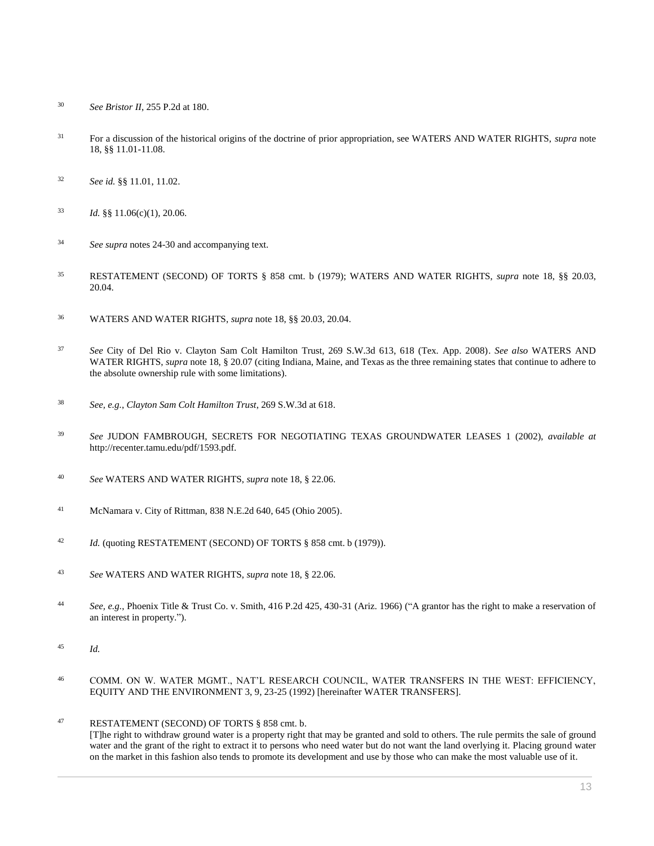- *See Bristor II*[, 255 P.2d at 180.](http://www.westlaw.com/Link/Document/FullText?findType=Y&serNum=1953113383&pubNum=0000661&originatingDoc=I0ecc82962df011e18b05fdf15589d8e8&refType=RP&fi=co_pp_sp_661_180&originationContext=document&vr=3.0&rs=cblt1.0&transitionType=DocumentItem&contextData=(sc.Search)#co_pp_sp_661_180)
- For a discussion of the historical origins of the doctrine of prior appropriation, see WATERS AND WATER RIGHTS, *supra* note 18, §§ 11.01-11.08.
- *See id.* §§ 11.01, 11.02.
- $1d.$  §§ 11.06(c)(1), 20.06.
- *See supra* notes 24-30 and accompanying text.
- [RESTATEMENT \(SECOND\) OF TORTS § 858](http://www.westlaw.com/Link/Document/FullText?findType=Y&serNum=0290694772&pubNum=0101577&originatingDoc=I0ecc82962df011e18b05fdf15589d8e8&refType=TS&originationContext=document&vr=3.0&rs=cblt1.0&transitionType=DocumentItem&contextData=(sc.Search)) cmt. b (1979); WATERS AND WATER RIGHTS, *supra* note 18, §§ 20.03, 20.04.
- WATERS AND WATER RIGHTS, *supra* note 18, §§ 20.03, 20.04.
- *See* [City of Del Rio v. Clayton Sam Colt Hamilton Trust, 269 S.W.3d 613, 618 \(Tex. App. 2008\).](http://www.westlaw.com/Link/Document/FullText?findType=Y&serNum=2015342931&pubNum=0004644&originatingDoc=I0ecc82962df011e18b05fdf15589d8e8&refType=RP&fi=co_pp_sp_4644_618&originationContext=document&vr=3.0&rs=cblt1.0&transitionType=DocumentItem&contextData=(sc.Search)#co_pp_sp_4644_618) *See also* WATERS AND WATER RIGHTS, *supra* note 18, § 20.07 (citing Indiana, Maine, and Texas as the three remaining states that continue to adhere to the absolute ownership rule with some limitations).
- *See, e.g.*, *Clayton [Sam Colt Hamilton Trust](http://www.westlaw.com/Link/Document/FullText?findType=Y&serNum=2015342931&pubNum=0004644&originatingDoc=I0ecc82962df011e18b05fdf15589d8e8&refType=RP&fi=co_pp_sp_4644_618&originationContext=document&vr=3.0&rs=cblt1.0&transitionType=DocumentItem&contextData=(sc.Search)#co_pp_sp_4644_618)*, 269 S.W.3d at 618.
- *See* JUDON FAMBROUGH, SECRETS FOR NEGOTIATING TEXAS GROUNDWATER LEASES 1 (2002), *available at* http://recenter.tamu.edu/pdf/1593.pdf.
- *See* WATERS AND WATER RIGHTS, *supra* note 18, § 22.06.
- [McNamara v. City of Rittman, 838 N.E.2d 640, 645 \(Ohio 2005\).](http://www.westlaw.com/Link/Document/FullText?findType=Y&serNum=2007508305&pubNum=0000578&originatingDoc=I0ecc82962df011e18b05fdf15589d8e8&refType=RP&fi=co_pp_sp_578_645&originationContext=document&vr=3.0&rs=cblt1.0&transitionType=DocumentItem&contextData=(sc.Search)#co_pp_sp_578_645)
- *Id.* (quotin[g RESTATEMENT \(SECOND\) OF TORTS § 858](http://www.westlaw.com/Link/Document/FullText?findType=Y&serNum=0290694772&pubNum=0101577&originatingDoc=I0ecc82962df011e18b05fdf15589d8e8&refType=TS&originationContext=document&vr=3.0&rs=cblt1.0&transitionType=DocumentItem&contextData=(sc.Search)) cmt. b (1979)).
- *See* WATERS AND WATER RIGHTS, *supra* note 18, § 22.06.
- *See, e.g.*, [Phoenix Title & Trust Co. v. Smith, 416 P.2d 425, 430-31 \(Ariz. 1966\)](http://www.westlaw.com/Link/Document/FullText?findType=Y&serNum=1966130052&pubNum=0000661&originatingDoc=I0ecc82962df011e18b05fdf15589d8e8&refType=RP&fi=co_pp_sp_661_430&originationContext=document&vr=3.0&rs=cblt1.0&transitionType=DocumentItem&contextData=(sc.Search)#co_pp_sp_661_430) ("A grantor has the right to make a reservation of an interest in property.").
- *Id.*
- COMM. ON W. WATER MGMT., NAT'L RESEARCH COUNCIL, WATER TRANSFERS IN THE WEST: EFFICIENCY, EQUITY AND THE ENVIRONMENT 3, 9, 23-25 (1992) [hereinafter WATER TRANSFERS].
- [RESTATEMENT \(SECOND\) OF TORTS § 858](http://www.westlaw.com/Link/Document/FullText?findType=Y&serNum=0290694772&pubNum=0101577&originatingDoc=I0ecc82962df011e18b05fdf15589d8e8&refType=TS&originationContext=document&vr=3.0&rs=cblt1.0&transitionType=DocumentItem&contextData=(sc.Search)) cmt. b. [T]he right to withdraw ground water is a property right that may be granted and sold to others. The rule permits the sale of ground water and the grant of the right to extract it to persons who need water but do not want the land overlying it. Placing ground water on the market in this fashion also tends to promote its development and use by those who can make the most valuable use of it.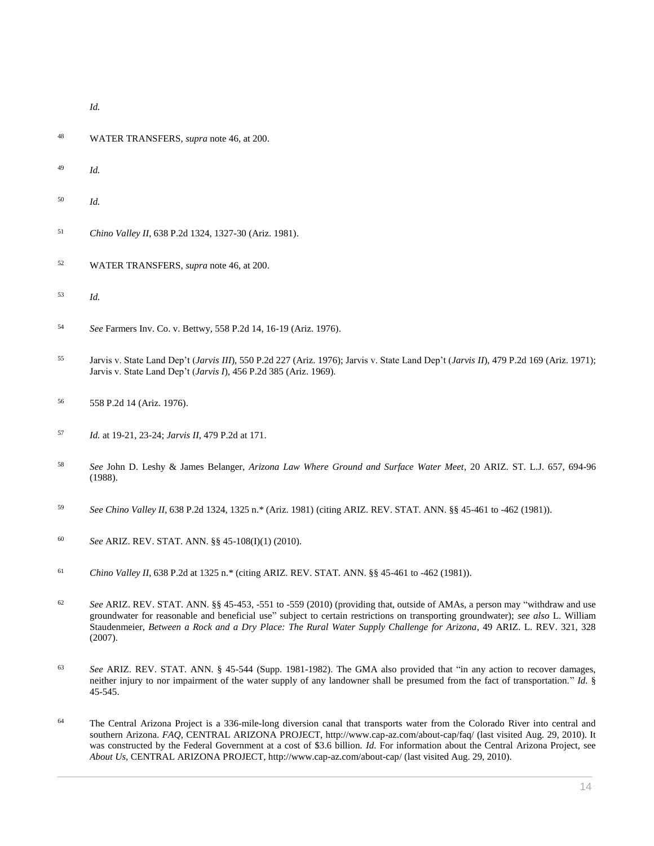*Id.*

- WATER TRANSFERS, *supra* note 46, at 200.
- *Id.*
- *Id.*
- *Chino Valley II*[, 638 P.2d 1324, 1327-30 \(Ariz. 1981\).](http://www.westlaw.com/Link/Document/FullText?findType=Y&serNum=1982102592&pubNum=0000661&originatingDoc=I0ecc82962df011e18b05fdf15589d8e8&refType=RP&fi=co_pp_sp_661_1327&originationContext=document&vr=3.0&rs=cblt1.0&transitionType=DocumentItem&contextData=(sc.Search)#co_pp_sp_661_1327)
- WATER TRANSFERS, *supra* note 46, at 200.
- *Id.*
- *See* [Farmers Inv. Co. v. Bettwy, 558 P.2d 14, 16-19 \(Ariz. 1976\).](http://www.westlaw.com/Link/Document/FullText?findType=Y&serNum=1976134936&pubNum=0000661&originatingDoc=I0ecc82962df011e18b05fdf15589d8e8&refType=RP&fi=co_pp_sp_661_16&originationContext=document&vr=3.0&rs=cblt1.0&transitionType=DocumentItem&contextData=(sc.Search)#co_pp_sp_661_16)
- Jarvis v. State Land Dep't (*Jarvis III*[\), 550 P.2d 227 \(Ariz. 1976\);](http://www.westlaw.com/Link/Document/FullText?findType=Y&serNum=1976114269&pubNum=0000661&originatingDoc=I0ecc82962df011e18b05fdf15589d8e8&refType=RP&originationContext=document&vr=3.0&rs=cblt1.0&transitionType=DocumentItem&contextData=(sc.Search)) Jarvis v. State Land Dep't (*Jarvis II*[\), 479 P.2d 169 \(Ariz. 1971\);](http://www.westlaw.com/Link/Document/FullText?findType=Y&serNum=1970134072&pubNum=0000661&originatingDoc=I0ecc82962df011e18b05fdf15589d8e8&refType=RP&originationContext=document&vr=3.0&rs=cblt1.0&transitionType=DocumentItem&contextData=(sc.Search)) Jarvis v. State Land Dep't (*Jarvis I*[\), 456 P.2d 385 \(Ariz. 1969\).](http://www.westlaw.com/Link/Document/FullText?findType=Y&serNum=1969131027&pubNum=0000661&originatingDoc=I0ecc82962df011e18b05fdf15589d8e8&refType=RP&originationContext=document&vr=3.0&rs=cblt1.0&transitionType=DocumentItem&contextData=(sc.Search))
- [558 P.2d 14 \(Ariz. 1976\).](http://www.westlaw.com/Link/Document/FullText?findType=Y&serNum=1976134936&pubNum=0000661&originatingDoc=I0ecc82962df011e18b05fdf15589d8e8&refType=RP&originationContext=document&vr=3.0&rs=cblt1.0&transitionType=DocumentItem&contextData=(sc.Search))
- *Id.* [at 19-21, 23-24;](http://www.westlaw.com/Link/Document/FullText?findType=Y&serNum=1976134936&originatingDoc=I0ecc82962df011e18b05fdf15589d8e8&refType=RP&originationContext=document&vr=3.0&rs=cblt1.0&transitionType=DocumentItem&contextData=(sc.Search)) *Jarvis II*[, 479 P.2d at 171.](http://www.westlaw.com/Link/Document/FullText?findType=Y&serNum=1970134072&pubNum=0000661&originatingDoc=I0ecc82962df011e18b05fdf15589d8e8&refType=RP&fi=co_pp_sp_661_171&originationContext=document&vr=3.0&rs=cblt1.0&transitionType=DocumentItem&contextData=(sc.Search)#co_pp_sp_661_171)
- *See* John D. Leshy & James Belanger, *Arizona Law Where Ground and Surface Water Meet*, 20 ARIZ. ST. L.J. 657, 694-96 (1988).
- *See Chino Valley II*[, 638 P.2d 1324, 1325 n.\\* \(Ariz. 1981\)](http://www.westlaw.com/Link/Document/FullText?findType=Y&serNum=1982102592&pubNum=0000661&originatingDoc=I0ecc82962df011e18b05fdf15589d8e8&refType=RP&fi=co_pp_sp_661_1325&originationContext=document&vr=3.0&rs=cblt1.0&transitionType=DocumentItem&contextData=(sc.Search)#co_pp_sp_661_1325) (citin[g ARIZ. REV. STAT. ANN. §§ 45-461](http://www.westlaw.com/Link/Document/FullText?findType=L&pubNum=1000251&cite=AZSTS45-461&originatingDoc=I0ecc82962df011e18b05fdf15589d8e8&refType=LQ&originationContext=document&vr=3.0&rs=cblt1.0&transitionType=DocumentItem&contextData=(sc.Search)) to -462 (1981)).
- *See* [ARIZ. REV. STAT. ANN. §§ 45-108\(I\)\(1\)](http://www.westlaw.com/Link/Document/FullText?findType=L&pubNum=1000251&cite=AZSTS45-108&originatingDoc=I0ecc82962df011e18b05fdf15589d8e8&refType=LQ&originationContext=document&vr=3.0&rs=cblt1.0&transitionType=DocumentItem&contextData=(sc.Search)) (2010).
- *Chino Valley II*[, 638 P.2d at 1325 n.\\*](http://www.westlaw.com/Link/Document/FullText?findType=Y&serNum=1982102592&pubNum=0000661&originatingDoc=I0ecc82962df011e18b05fdf15589d8e8&refType=RP&fi=co_pp_sp_661_1325&originationContext=document&vr=3.0&rs=cblt1.0&transitionType=DocumentItem&contextData=(sc.Search)#co_pp_sp_661_1325) (citin[g ARIZ. REV. STAT. ANN. §§ 45-461](http://www.westlaw.com/Link/Document/FullText?findType=L&pubNum=1000251&cite=AZSTS45-461&originatingDoc=I0ecc82962df011e18b05fdf15589d8e8&refType=LQ&originationContext=document&vr=3.0&rs=cblt1.0&transitionType=DocumentItem&contextData=(sc.Search)) to -462 (1981)).
- *See* [ARIZ. REV. STAT. ANN. §§ 45-453,](http://www.westlaw.com/Link/Document/FullText?findType=L&pubNum=1000251&cite=AZSTS45-453&originatingDoc=I0ecc82962df011e18b05fdf15589d8e8&refType=LQ&originationContext=document&vr=3.0&rs=cblt1.0&transitionType=DocumentItem&contextData=(sc.Search)) -551 to -559 (2010) (providing that, outside of AMAs, a person may "withdraw and use groundwater for reasonable and beneficial use" subject to certain restrictions on transporting groundwater); *see also* L. William Staudenmeier, *[Between a Rock and a Dry Place: The Rural Water Supply Challenge for Arizona](http://www.westlaw.com/Link/Document/FullText?findType=Y&serNum=0332237051&pubNum=0001093&originatingDoc=I0ecc82962df011e18b05fdf15589d8e8&refType=LR&fi=co_pp_sp_1093_328&originationContext=document&vr=3.0&rs=cblt1.0&transitionType=DocumentItem&contextData=(sc.Search)#co_pp_sp_1093_328)*, 49 ARIZ. L. REV. 321, 328 [\(2007\).](http://www.westlaw.com/Link/Document/FullText?findType=Y&serNum=0332237051&pubNum=0001093&originatingDoc=I0ecc82962df011e18b05fdf15589d8e8&refType=LR&fi=co_pp_sp_1093_328&originationContext=document&vr=3.0&rs=cblt1.0&transitionType=DocumentItem&contextData=(sc.Search)#co_pp_sp_1093_328)
- *See* [ARIZ. REV. STAT. ANN. § 45-544](http://www.westlaw.com/Link/Document/FullText?findType=L&pubNum=1000251&cite=AZSTS45-544&originatingDoc=I0ecc82962df011e18b05fdf15589d8e8&refType=LQ&originationContext=document&vr=3.0&rs=cblt1.0&transitionType=DocumentItem&contextData=(sc.Search)) (Supp. 1981-1982). The GMA also provided that "in any action to recover damages, neither injury to nor impairment of the water supply of any landowner shall be presumed from the fact of transportation." *Id.* § 45-545.
- The Central Arizona Project is a 336-mile-long diversion canal that transports water from the Colorado River into central and southern Arizona. *FAQ*, CENTRAL ARIZONA PROJECT, http://www.cap-az.com/about-cap/faq/ (last visited Aug. 29, 2010). It was constructed by the Federal Government at a cost of \$3.6 billion. *Id.* For information about the Central Arizona Project, see *About Us*, CENTRAL ARIZONA PROJECT, http://www.cap-az.com/about-cap/ (last visited Aug. 29, 2010).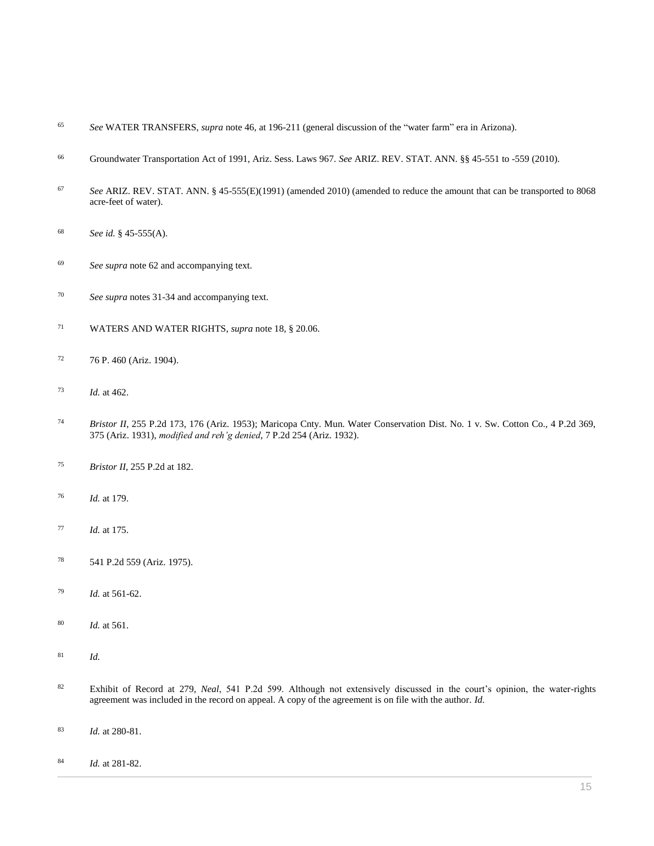- *See* WATER TRANSFERS, *supra* note 46, at 196-211 (general discussion of the "water farm" era in Arizona).
- Groundwater Transportation Act of 1991, Ariz. Sess. Laws 967. *See* [ARIZ. REV. STAT. ANN. §§ 45-551](http://www.westlaw.com/Link/Document/FullText?findType=L&pubNum=1000251&cite=AZSTS45-551&originatingDoc=I0ecc82962df011e18b05fdf15589d8e8&refType=LQ&originationContext=document&vr=3.0&rs=cblt1.0&transitionType=DocumentItem&contextData=(sc.Search)) to -559 (2010).
- *See* [ARIZ. REV. STAT. ANN. § 45-555\(E\)\(](http://www.westlaw.com/Link/Document/FullText?findType=L&pubNum=1000251&cite=AZSTS45-555&originatingDoc=I0ecc82962df011e18b05fdf15589d8e8&refType=LQ&originationContext=document&vr=3.0&rs=cblt1.0&transitionType=DocumentItem&contextData=(sc.Search))1991) (amended 2010) (amended to reduce the amount that can be transported to 8068 acre-feet of water).
- *See id.* [§ 45-555\(A\).](http://www.westlaw.com/Link/Document/FullText?findType=L&pubNum=1000251&cite=AZSTS45-555&originatingDoc=I0ecc82962df011e18b05fdf15589d8e8&refType=LQ&originationContext=document&vr=3.0&rs=cblt1.0&transitionType=DocumentItem&contextData=(sc.Search))
- *See supra* note 62 and accompanying text.
- *See supra* notes 31-34 and accompanying text.
- WATERS AND WATER RIGHTS, *supra* note 18, § 20.06.
- [76 P. 460 \(Ariz. 1904\).](http://www.westlaw.com/Link/Document/FullText?findType=Y&serNum=1904001641&pubNum=0000660&originatingDoc=I0ecc82962df011e18b05fdf15589d8e8&refType=RP&originationContext=document&vr=3.0&rs=cblt1.0&transitionType=DocumentItem&contextData=(sc.Search))
- *Id.* [at 462.](http://www.westlaw.com/Link/Document/FullText?findType=Y&serNum=1904001641&originatingDoc=I0ecc82962df011e18b05fdf15589d8e8&refType=RP&originationContext=document&vr=3.0&rs=cblt1.0&transitionType=DocumentItem&contextData=(sc.Search))
- *Bristor II*[, 255 P.2d 173, 176 \(Ariz. 1953\);](http://www.westlaw.com/Link/Document/FullText?findType=Y&serNum=1953113383&pubNum=0000661&originatingDoc=I0ecc82962df011e18b05fdf15589d8e8&refType=RP&fi=co_pp_sp_661_176&originationContext=document&vr=3.0&rs=cblt1.0&transitionType=DocumentItem&contextData=(sc.Search)#co_pp_sp_661_176) [Maricopa Cnty. Mun. Water Conservation Dist. No. 1 v. Sw. Cotton Co., 4 P.2d 369,](http://www.westlaw.com/Link/Document/FullText?findType=Y&serNum=1931117530&pubNum=0000661&originatingDoc=I0ecc82962df011e18b05fdf15589d8e8&refType=RP&fi=co_pp_sp_661_375&originationContext=document&vr=3.0&rs=cblt1.0&transitionType=DocumentItem&contextData=(sc.Search)#co_pp_sp_661_375)  [375 \(Ariz. 1931\),](http://www.westlaw.com/Link/Document/FullText?findType=Y&serNum=1931117530&pubNum=0000661&originatingDoc=I0ecc82962df011e18b05fdf15589d8e8&refType=RP&fi=co_pp_sp_661_375&originationContext=document&vr=3.0&rs=cblt1.0&transitionType=DocumentItem&contextData=(sc.Search)#co_pp_sp_661_375) *modified and reh'g denied*[, 7 P.2d 254 \(Ariz. 1932\).](http://www.westlaw.com/Link/Document/FullText?findType=Y&serNum=1932117185&pubNum=0000661&originatingDoc=I0ecc82962df011e18b05fdf15589d8e8&refType=RP&originationContext=document&vr=3.0&rs=cblt1.0&transitionType=DocumentItem&contextData=(sc.Search))
- *Bristor II*[, 255 P.2d at 182.](http://www.westlaw.com/Link/Document/FullText?findType=Y&serNum=1953113383&pubNum=0000661&originatingDoc=I0ecc82962df011e18b05fdf15589d8e8&refType=RP&fi=co_pp_sp_661_182&originationContext=document&vr=3.0&rs=cblt1.0&transitionType=DocumentItem&contextData=(sc.Search)#co_pp_sp_661_182)
- *Id.* [at 179.](http://www.westlaw.com/Link/Document/FullText?findType=Y&serNum=1953113383&originatingDoc=I0ecc82962df011e18b05fdf15589d8e8&refType=RP&originationContext=document&vr=3.0&rs=cblt1.0&transitionType=DocumentItem&contextData=(sc.Search))
- *Id.* [at 175.](http://www.westlaw.com/Link/Document/FullText?findType=Y&serNum=1953113383&originatingDoc=I0ecc82962df011e18b05fdf15589d8e8&refType=RP&originationContext=document&vr=3.0&rs=cblt1.0&transitionType=DocumentItem&contextData=(sc.Search))
- [541 P.2d 559 \(Ariz. 1975\).](http://www.westlaw.com/Link/Document/FullText?findType=Y&serNum=1975128582&pubNum=0000661&originatingDoc=I0ecc82962df011e18b05fdf15589d8e8&refType=RP&originationContext=document&vr=3.0&rs=cblt1.0&transitionType=DocumentItem&contextData=(sc.Search))
- *Id.* [at 561-62.](http://www.westlaw.com/Link/Document/FullText?findType=Y&serNum=1975128582&originatingDoc=I0ecc82962df011e18b05fdf15589d8e8&refType=RP&originationContext=document&vr=3.0&rs=cblt1.0&transitionType=DocumentItem&contextData=(sc.Search))
- *Id.* [at 561.](http://www.westlaw.com/Link/Document/FullText?findType=Y&serNum=1975128582&originatingDoc=I0ecc82962df011e18b05fdf15589d8e8&refType=RP&originationContext=document&vr=3.0&rs=cblt1.0&transitionType=DocumentItem&contextData=(sc.Search))
- *Id.*
- Exhibit of Record at 279, *Neal*, 541 P.2d 599. Although not extensively discussed in the court's opinion, the water-rights agreement was included in the record on appeal. A copy of the agreement is on file with the author. *Id.*
- *Id.* at 280-81.
- *Id.* at 281-82.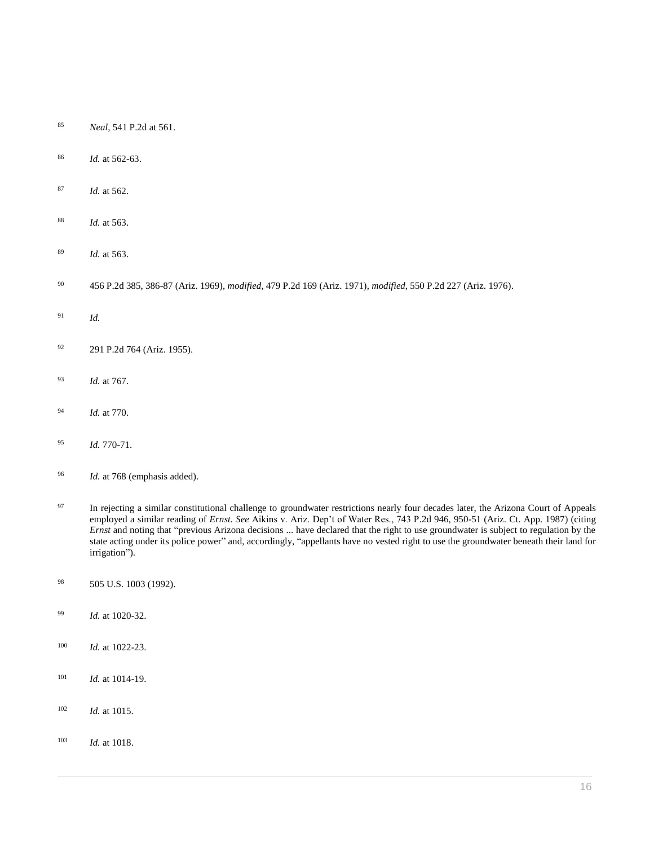- *Neal*[, 541 P.2d at 561.](http://www.westlaw.com/Link/Document/FullText?findType=Y&serNum=1975128582&pubNum=0000661&originatingDoc=I0ecc82962df011e18b05fdf15589d8e8&refType=RP&fi=co_pp_sp_661_561&originationContext=document&vr=3.0&rs=cblt1.0&transitionType=DocumentItem&contextData=(sc.Search)#co_pp_sp_661_561)
- *Id.* [at 562-63.](http://www.westlaw.com/Link/Document/FullText?findType=Y&serNum=1975128582&originatingDoc=I0ecc82962df011e18b05fdf15589d8e8&refType=RP&originationContext=document&vr=3.0&rs=cblt1.0&transitionType=DocumentItem&contextData=(sc.Search))
- *Id.* [at 562.](http://www.westlaw.com/Link/Document/FullText?findType=Y&serNum=1975128582&originatingDoc=I0ecc82962df011e18b05fdf15589d8e8&refType=RP&originationContext=document&vr=3.0&rs=cblt1.0&transitionType=DocumentItem&contextData=(sc.Search))
- *Id.* [at 563.](http://www.westlaw.com/Link/Document/FullText?findType=Y&serNum=1975128582&originatingDoc=I0ecc82962df011e18b05fdf15589d8e8&refType=RP&originationContext=document&vr=3.0&rs=cblt1.0&transitionType=DocumentItem&contextData=(sc.Search))
- *Id.* [at 563.](http://www.westlaw.com/Link/Document/FullText?findType=Y&serNum=1975128582&originatingDoc=I0ecc82962df011e18b05fdf15589d8e8&refType=RP&originationContext=document&vr=3.0&rs=cblt1.0&transitionType=DocumentItem&contextData=(sc.Search))
- [456 P.2d 385, 386-87 \(Ariz. 1969\),](http://www.westlaw.com/Link/Document/FullText?findType=Y&serNum=1969131027&pubNum=0000661&originatingDoc=I0ecc82962df011e18b05fdf15589d8e8&refType=RP&fi=co_pp_sp_661_386&originationContext=document&vr=3.0&rs=cblt1.0&transitionType=DocumentItem&contextData=(sc.Search)#co_pp_sp_661_386) *modified*, [479 P.2d 169 \(Ariz. 1971\),](http://www.westlaw.com/Link/Document/FullText?findType=Y&serNum=1970134072&pubNum=0000661&originatingDoc=I0ecc82962df011e18b05fdf15589d8e8&refType=RP&originationContext=document&vr=3.0&rs=cblt1.0&transitionType=DocumentItem&contextData=(sc.Search)) *modified*, [550 P.2d 227 \(Ariz. 1976\).](http://www.westlaw.com/Link/Document/FullText?findType=Y&serNum=1976114269&pubNum=0000661&originatingDoc=I0ecc82962df011e18b05fdf15589d8e8&refType=RP&originationContext=document&vr=3.0&rs=cblt1.0&transitionType=DocumentItem&contextData=(sc.Search))
- *Id.*
- [291 P.2d 764 \(Ariz. 1955\).](http://www.westlaw.com/Link/Document/FullText?findType=Y&serNum=1956122362&pubNum=0000661&originatingDoc=I0ecc82962df011e18b05fdf15589d8e8&refType=RP&originationContext=document&vr=3.0&rs=cblt1.0&transitionType=DocumentItem&contextData=(sc.Search))
- *Id.* [at 767.](http://www.westlaw.com/Link/Document/FullText?findType=Y&serNum=1956122362&originatingDoc=I0ecc82962df011e18b05fdf15589d8e8&refType=RP&originationContext=document&vr=3.0&rs=cblt1.0&transitionType=DocumentItem&contextData=(sc.Search))
- *Id.* [at 770.](http://www.westlaw.com/Link/Document/FullText?findType=Y&serNum=1956122362&originatingDoc=I0ecc82962df011e18b05fdf15589d8e8&refType=RP&originationContext=document&vr=3.0&rs=cblt1.0&transitionType=DocumentItem&contextData=(sc.Search))
- *Id.* [770-71.](http://www.westlaw.com/Link/Document/FullText?findType=Y&serNum=1956122362&originatingDoc=I0ecc82962df011e18b05fdf15589d8e8&refType=RP&originationContext=document&vr=3.0&rs=cblt1.0&transitionType=DocumentItem&contextData=(sc.Search))
- *Id.* at 768 (emphasis added).
- <sup>97</sup> In rejecting a similar constitutional challenge to groundwater restrictions nearly four decades later, the Arizona Court of Appeals employed a similar reading of *Ernst. See* [Aikins v. Ariz. Dep't of Water Res., 743 P.2d 946, 950-51 \(Ariz. Ct. App. 1987\)](http://www.westlaw.com/Link/Document/FullText?findType=Y&serNum=1987081337&pubNum=0000661&originatingDoc=I0ecc82962df011e18b05fdf15589d8e8&refType=RP&fi=co_pp_sp_661_950&originationContext=document&vr=3.0&rs=cblt1.0&transitionType=DocumentItem&contextData=(sc.Search)#co_pp_sp_661_950) (citing *Ernst* and noting that "previous Arizona decisions ... have declared that the right to use groundwater is subject to regulation by the state acting under its police power" and, accordingly, "appellants have no vested right to use the groundwater beneath their land for irrigation").
- [505 U.S. 1003 \(1992\).](http://www.westlaw.com/Link/Document/FullText?findType=Y&serNum=1992116311&pubNum=0000780&originatingDoc=I0ecc82962df011e18b05fdf15589d8e8&refType=RP&originationContext=document&vr=3.0&rs=cblt1.0&transitionType=DocumentItem&contextData=(sc.Search))
- *Id.* [at 1020-32.](http://www.westlaw.com/Link/Document/FullText?findType=Y&serNum=1992116311&originatingDoc=I0ecc82962df011e18b05fdf15589d8e8&refType=RP&originationContext=document&vr=3.0&rs=cblt1.0&transitionType=DocumentItem&contextData=(sc.Search))
- *Id.* [at 1022-23.](http://www.westlaw.com/Link/Document/FullText?findType=Y&serNum=1992116311&originatingDoc=I0ecc82962df011e18b05fdf15589d8e8&refType=RP&originationContext=document&vr=3.0&rs=cblt1.0&transitionType=DocumentItem&contextData=(sc.Search))
- *Id.* [at 1014-19.](http://www.westlaw.com/Link/Document/FullText?findType=Y&serNum=1992116311&originatingDoc=I0ecc82962df011e18b05fdf15589d8e8&refType=RP&originationContext=document&vr=3.0&rs=cblt1.0&transitionType=DocumentItem&contextData=(sc.Search))
- *Id.* [at 1015.](http://www.westlaw.com/Link/Document/FullText?findType=Y&serNum=1992116311&originatingDoc=I0ecc82962df011e18b05fdf15589d8e8&refType=RP&originationContext=document&vr=3.0&rs=cblt1.0&transitionType=DocumentItem&contextData=(sc.Search))
- *Id.* [at 1018.](http://www.westlaw.com/Link/Document/FullText?findType=Y&serNum=1992116311&originatingDoc=I0ecc82962df011e18b05fdf15589d8e8&refType=RP&originationContext=document&vr=3.0&rs=cblt1.0&transitionType=DocumentItem&contextData=(sc.Search))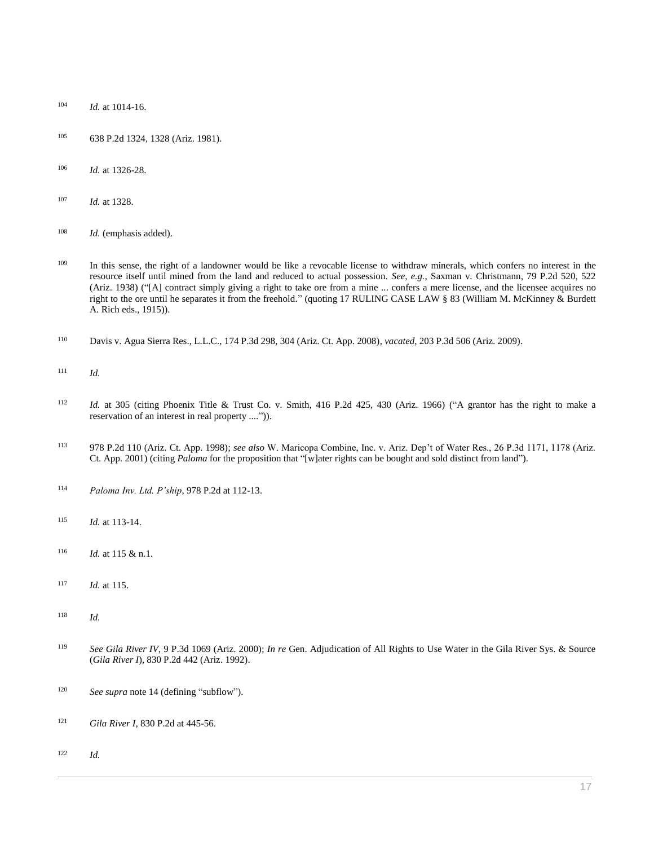- *Id.* [at 1014-16.](http://www.westlaw.com/Link/Document/FullText?findType=Y&serNum=1992116311&originatingDoc=I0ecc82962df011e18b05fdf15589d8e8&refType=RP&originationContext=document&vr=3.0&rs=cblt1.0&transitionType=DocumentItem&contextData=(sc.Search))
- [638 P.2d 1324, 1328 \(Ariz. 1981\).](http://www.westlaw.com/Link/Document/FullText?findType=Y&serNum=1982102592&pubNum=0000661&originatingDoc=I0ecc82962df011e18b05fdf15589d8e8&refType=RP&fi=co_pp_sp_661_1328&originationContext=document&vr=3.0&rs=cblt1.0&transitionType=DocumentItem&contextData=(sc.Search)#co_pp_sp_661_1328)
- *Id.* [at 1326-28.](http://www.westlaw.com/Link/Document/FullText?findType=Y&serNum=1982102592&originatingDoc=I0ecc82962df011e18b05fdf15589d8e8&refType=RP&originationContext=document&vr=3.0&rs=cblt1.0&transitionType=DocumentItem&contextData=(sc.Search))
- *Id.* [at 1328.](http://www.westlaw.com/Link/Document/FullText?findType=Y&serNum=1982102592&originatingDoc=I0ecc82962df011e18b05fdf15589d8e8&refType=RP&originationContext=document&vr=3.0&rs=cblt1.0&transitionType=DocumentItem&contextData=(sc.Search))
- *Id.* (emphasis added).
- <sup>109</sup> In this sense, the right of a landowner would be like a revocable license to withdraw minerals, which confers no interest in the resource itself until mined from the land and reduced to actual possession. *See, e.g.*, [Saxman v. Christmann, 79 P.2d 520, 522](http://www.westlaw.com/Link/Document/FullText?findType=Y&serNum=1938116964&pubNum=0000661&originatingDoc=I0ecc82962df011e18b05fdf15589d8e8&refType=RP&fi=co_pp_sp_661_522&originationContext=document&vr=3.0&rs=cblt1.0&transitionType=DocumentItem&contextData=(sc.Search)#co_pp_sp_661_522)  [\(Ariz. 1938\)](http://www.westlaw.com/Link/Document/FullText?findType=Y&serNum=1938116964&pubNum=0000661&originatingDoc=I0ecc82962df011e18b05fdf15589d8e8&refType=RP&fi=co_pp_sp_661_522&originationContext=document&vr=3.0&rs=cblt1.0&transitionType=DocumentItem&contextData=(sc.Search)#co_pp_sp_661_522) ("[A] contract simply giving a right to take ore from a mine ... confers a mere license, and the licensee acquires no right to the ore until he separates it from the freehold." (quoting 17 RULING CASE LAW § 83 (William M. McKinney & Burdett A. Rich eds., 1915)).
- [Davis v. Agua Sierra Res., L.L.C., 174 P.3d 298, 304 \(Ariz. Ct. App. 2008\),](http://www.westlaw.com/Link/Document/FullText?findType=Y&serNum=2014736199&pubNum=0004645&originatingDoc=I0ecc82962df011e18b05fdf15589d8e8&refType=RP&fi=co_pp_sp_4645_304&originationContext=document&vr=3.0&rs=cblt1.0&transitionType=DocumentItem&contextData=(sc.Search)#co_pp_sp_4645_304) *vacated*[, 203 P.3d 506 \(Ariz. 2009\).](http://www.westlaw.com/Link/Document/FullText?findType=Y&serNum=2018387096&pubNum=0004645&originatingDoc=I0ecc82962df011e18b05fdf15589d8e8&refType=RP&originationContext=document&vr=3.0&rs=cblt1.0&transitionType=DocumentItem&contextData=(sc.Search))
- *Id.*
- *Id.* [at 305](http://www.westlaw.com/Link/Document/FullText?findType=Y&serNum=2014736199&pubNum=0004645&originatingDoc=I0ecc82962df011e18b05fdf15589d8e8&refType=RP&fi=co_pp_sp_4645_305&originationContext=document&vr=3.0&rs=cblt1.0&transitionType=DocumentItem&contextData=(sc.Search)#co_pp_sp_4645_305) (citing [Phoenix Title & Trust Co. v. Smith, 416 P.2d 425, 430 \(Ariz. 1966\)](http://www.westlaw.com/Link/Document/FullText?findType=Y&serNum=1966130052&pubNum=0000661&originatingDoc=I0ecc82962df011e18b05fdf15589d8e8&refType=RP&fi=co_pp_sp_661_430&originationContext=document&vr=3.0&rs=cblt1.0&transitionType=DocumentItem&contextData=(sc.Search)#co_pp_sp_661_430) ("A grantor has the right to make a reservation of an interest in real property ....")).
- [978 P.2d 110 \(Ariz. Ct. App. 1998\);](http://www.westlaw.com/Link/Document/FullText?findType=Y&serNum=1998210374&pubNum=0000661&originatingDoc=I0ecc82962df011e18b05fdf15589d8e8&refType=RP&originationContext=document&vr=3.0&rs=cblt1.0&transitionType=DocumentItem&contextData=(sc.Search)) *see also* [W. Maricopa Combine, Inc. v. Ariz. Dep't of Water Res., 26 P.3d 1171, 1178 \(Ariz.](http://www.westlaw.com/Link/Document/FullText?findType=Y&serNum=2001483787&pubNum=0004645&originatingDoc=I0ecc82962df011e18b05fdf15589d8e8&refType=RP&fi=co_pp_sp_4645_1178&originationContext=document&vr=3.0&rs=cblt1.0&transitionType=DocumentItem&contextData=(sc.Search)#co_pp_sp_4645_1178)  [Ct. App. 2001\)](http://www.westlaw.com/Link/Document/FullText?findType=Y&serNum=2001483787&pubNum=0004645&originatingDoc=I0ecc82962df011e18b05fdf15589d8e8&refType=RP&fi=co_pp_sp_4645_1178&originationContext=document&vr=3.0&rs=cblt1.0&transitionType=DocumentItem&contextData=(sc.Search)#co_pp_sp_4645_1178) (citing *Paloma* for the proposition that "[w]ater rights can be bought and sold distinct from land").
- *[Paloma Inv. Ltd. P'ship](http://www.westlaw.com/Link/Document/FullText?findType=Y&serNum=1998210374&pubNum=0000661&originatingDoc=I0ecc82962df011e18b05fdf15589d8e8&refType=RP&fi=co_pp_sp_661_112&originationContext=document&vr=3.0&rs=cblt1.0&transitionType=DocumentItem&contextData=(sc.Search)#co_pp_sp_661_112)*, 978 P.2d at 112-13.
- *Id.* [at 113-14.](http://www.westlaw.com/Link/Document/FullText?findType=Y&serNum=1998210374&originatingDoc=I0ecc82962df011e18b05fdf15589d8e8&refType=RP&originationContext=document&vr=3.0&rs=cblt1.0&transitionType=DocumentItem&contextData=(sc.Search))
- *Id.* [at 115 & n.1.](http://www.westlaw.com/Link/Document/FullText?findType=Y&serNum=1998210374&originatingDoc=I0ecc82962df011e18b05fdf15589d8e8&refType=RP&originationContext=document&vr=3.0&rs=cblt1.0&transitionType=DocumentItem&contextData=(sc.Search))
- *Id.* [at 115.](http://www.westlaw.com/Link/Document/FullText?findType=Y&serNum=1998210374&originatingDoc=I0ecc82962df011e18b05fdf15589d8e8&refType=RP&originationContext=document&vr=3.0&rs=cblt1.0&transitionType=DocumentItem&contextData=(sc.Search))
- *Id.*
- *See Gila River IV*[, 9 P.3d 1069 \(Ariz. 2000\);](http://www.westlaw.com/Link/Document/FullText?findType=Y&serNum=2000531688&pubNum=0004645&originatingDoc=I0ecc82962df011e18b05fdf15589d8e8&refType=RP&originationContext=document&vr=3.0&rs=cblt1.0&transitionType=DocumentItem&contextData=(sc.Search)) *In re* Gen. Adjudication of All Rights to Use Water in the Gila River Sys. & Source (*Gila River I*[\), 830 P.2d 442 \(Ariz. 1992\).](http://www.westlaw.com/Link/Document/FullText?findType=Y&serNum=1992060282&pubNum=0000661&originatingDoc=I0ecc82962df011e18b05fdf15589d8e8&refType=RP&originationContext=document&vr=3.0&rs=cblt1.0&transitionType=DocumentItem&contextData=(sc.Search))
- <sup>120</sup> *See supra* note 14 (defining "subflow").
- *Gila River I*[, 830 P.2d at 445-56.](http://www.westlaw.com/Link/Document/FullText?findType=Y&serNum=1992060282&pubNum=0000661&originatingDoc=I0ecc82962df011e18b05fdf15589d8e8&refType=RP&fi=co_pp_sp_661_445&originationContext=document&vr=3.0&rs=cblt1.0&transitionType=DocumentItem&contextData=(sc.Search)#co_pp_sp_661_445)
- *Id.*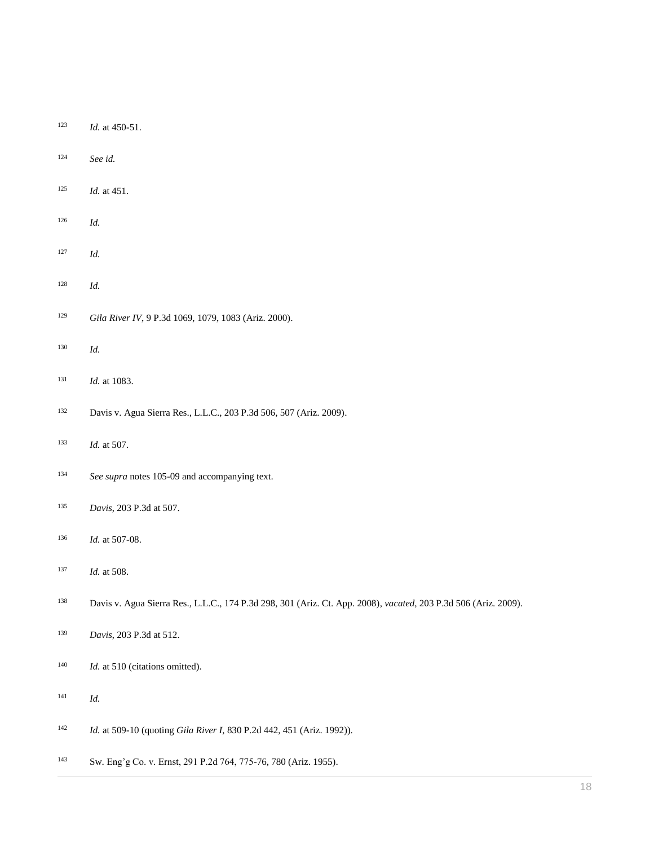- *Id.* at 450-51.
- *See id.*
- *Id.* at 451.
- *Id.*
- *Id.*
- *Id.*
- *Gila River IV*, 9 P.3d 1069, [1079, 1083 \(Ariz. 2000\).](http://www.westlaw.com/Link/Document/FullText?findType=Y&serNum=2000531688&pubNum=0004645&originatingDoc=I0ecc82962df011e18b05fdf15589d8e8&refType=RP&fi=co_pp_sp_4645_1079&originationContext=document&vr=3.0&rs=cblt1.0&transitionType=DocumentItem&contextData=(sc.Search)#co_pp_sp_4645_1079)
- *Id.*
- *Id.* at 1083.
- [Davis v. Agua Sierra Res., L.L.C., 203 P.3d 506, 507 \(Ariz. 2009\).](http://www.westlaw.com/Link/Document/FullText?findType=Y&serNum=2018387096&pubNum=0004645&originatingDoc=I0ecc82962df011e18b05fdf15589d8e8&refType=RP&fi=co_pp_sp_4645_507&originationContext=document&vr=3.0&rs=cblt1.0&transitionType=DocumentItem&contextData=(sc.Search)#co_pp_sp_4645_507)
- *Id.* [at 507.](http://www.westlaw.com/Link/Document/FullText?findType=Y&serNum=2018387096&originatingDoc=I0ecc82962df011e18b05fdf15589d8e8&refType=RP&originationContext=document&vr=3.0&rs=cblt1.0&transitionType=DocumentItem&contextData=(sc.Search))
- *See supra* notes 105-09 and accompanying text.
- *Davis*[, 203 P.3d at 507.](http://www.westlaw.com/Link/Document/FullText?findType=Y&serNum=2018387096&pubNum=0004645&originatingDoc=I0ecc82962df011e18b05fdf15589d8e8&refType=RP&fi=co_pp_sp_4645_507&originationContext=document&vr=3.0&rs=cblt1.0&transitionType=DocumentItem&contextData=(sc.Search)#co_pp_sp_4645_507)
- *Id.* [at 507-08.](http://www.westlaw.com/Link/Document/FullText?findType=Y&serNum=2018387096&originatingDoc=I0ecc82962df011e18b05fdf15589d8e8&refType=RP&originationContext=document&vr=3.0&rs=cblt1.0&transitionType=DocumentItem&contextData=(sc.Search))
- *Id.* [at 508.](http://www.westlaw.com/Link/Document/FullText?findType=Y&serNum=2018387096&originatingDoc=I0ecc82962df011e18b05fdf15589d8e8&refType=RP&originationContext=document&vr=3.0&rs=cblt1.0&transitionType=DocumentItem&contextData=(sc.Search))
- [Davis v. Agua Sierra Res., L.L.C., 174 P.3d 298, 301 \(Ariz. Ct. App. 2008\),](http://www.westlaw.com/Link/Document/FullText?findType=Y&serNum=2014736199&pubNum=0004645&originatingDoc=I0ecc82962df011e18b05fdf15589d8e8&refType=RP&fi=co_pp_sp_4645_301&originationContext=document&vr=3.0&rs=cblt1.0&transitionType=DocumentItem&contextData=(sc.Search)#co_pp_sp_4645_301) *vacated*[, 203 P.3d 506 \(Ariz. 2009\).](http://www.westlaw.com/Link/Document/FullText?findType=Y&serNum=2018387096&pubNum=0004645&originatingDoc=I0ecc82962df011e18b05fdf15589d8e8&refType=RP&originationContext=document&vr=3.0&rs=cblt1.0&transitionType=DocumentItem&contextData=(sc.Search))
- *Davis*[, 203 P.3d at 512.](http://www.westlaw.com/Link/Document/FullText?findType=Y&serNum=2018387096&pubNum=0004645&originatingDoc=I0ecc82962df011e18b05fdf15589d8e8&refType=RP&fi=co_pp_sp_4645_512&originationContext=document&vr=3.0&rs=cblt1.0&transitionType=DocumentItem&contextData=(sc.Search)#co_pp_sp_4645_512)
- <sup>140</sup> *Id.* [at 510](http://www.westlaw.com/Link/Document/FullText?findType=Y&serNum=2018387096&pubNum=0004645&originatingDoc=I0ecc82962df011e18b05fdf15589d8e8&refType=RP&fi=co_pp_sp_4645_510&originationContext=document&vr=3.0&rs=cblt1.0&transitionType=DocumentItem&contextData=(sc.Search)#co_pp_sp_4645_510) (citations omitted).
- *Id.*
- *Id.* at 509-10 (quoting *Gila River I*[, 830 P.2d 442, 451 \(Ariz. 1992\)\)](http://www.westlaw.com/Link/Document/FullText?findType=Y&serNum=1992060282&pubNum=0000661&originatingDoc=I0ecc82962df011e18b05fdf15589d8e8&refType=RP&fi=co_pp_sp_661_451&originationContext=document&vr=3.0&rs=cblt1.0&transitionType=DocumentItem&contextData=(sc.Search)#co_pp_sp_661_451).
- Sw. [Eng'g Co. v. Ernst, 291 P.2d 764, 775-76, 780 \(Ariz. 1955\).](http://www.westlaw.com/Link/Document/FullText?findType=Y&serNum=1956122362&pubNum=0000661&originatingDoc=I0ecc82962df011e18b05fdf15589d8e8&refType=RP&fi=co_pp_sp_661_775&originationContext=document&vr=3.0&rs=cblt1.0&transitionType=DocumentItem&contextData=(sc.Search)#co_pp_sp_661_775)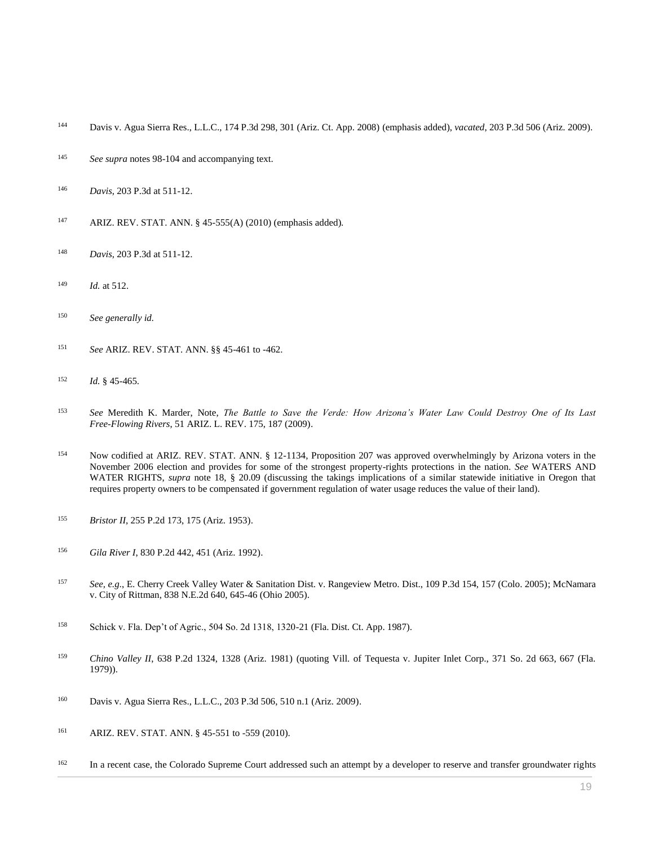- [Davis v. Agua Sierra Res., L.L.C., 174 P.3d 298, 301 \(Ariz. Ct. App. 2008\)](http://www.westlaw.com/Link/Document/FullText?findType=Y&serNum=2014736199&pubNum=0004645&originatingDoc=I0ecc82962df011e18b05fdf15589d8e8&refType=RP&fi=co_pp_sp_4645_301&originationContext=document&vr=3.0&rs=cblt1.0&transitionType=DocumentItem&contextData=(sc.Search)#co_pp_sp_4645_301) (emphasis added), *vacated*[, 203 P.3d 506 \(Ariz. 2009\).](http://www.westlaw.com/Link/Document/FullText?findType=Y&serNum=2018387096&pubNum=0004645&originatingDoc=I0ecc82962df011e18b05fdf15589d8e8&refType=RP&originationContext=document&vr=3.0&rs=cblt1.0&transitionType=DocumentItem&contextData=(sc.Search))
- *See supra* notes 98-104 and accompanying text.
- *Davis*[, 203 P.3d at 511-12.](http://www.westlaw.com/Link/Document/FullText?findType=Y&serNum=2018387096&pubNum=0004645&originatingDoc=I0ecc82962df011e18b05fdf15589d8e8&refType=RP&fi=co_pp_sp_4645_511&originationContext=document&vr=3.0&rs=cblt1.0&transitionType=DocumentItem&contextData=(sc.Search)#co_pp_sp_4645_511)
- [ARIZ. REV. STAT. ANN. § 45-555\(A\)](http://www.westlaw.com/Link/Document/FullText?findType=L&pubNum=1000251&cite=AZSTS45-555&originatingDoc=I0ecc82962df011e18b05fdf15589d8e8&refType=LQ&originationContext=document&vr=3.0&rs=cblt1.0&transitionType=DocumentItem&contextData=(sc.Search)) (2010) (emphasis added).
- *Davis*[, 203 P.3d at 511-12.](http://www.westlaw.com/Link/Document/FullText?findType=Y&serNum=2018387096&pubNum=0004645&originatingDoc=I0ecc82962df011e18b05fdf15589d8e8&refType=RP&fi=co_pp_sp_4645_511&originationContext=document&vr=3.0&rs=cblt1.0&transitionType=DocumentItem&contextData=(sc.Search)#co_pp_sp_4645_511)
- *Id.* [at 512.](http://www.westlaw.com/Link/Document/FullText?findType=Y&serNum=2018387096&originatingDoc=I0ecc82962df011e18b05fdf15589d8e8&refType=RP&originationContext=document&vr=3.0&rs=cblt1.0&transitionType=DocumentItem&contextData=(sc.Search))
- *See generally id.*
- *See* [ARIZ. REV. STAT. ANN. §§ 45-461](http://www.westlaw.com/Link/Document/FullText?findType=L&pubNum=1000251&cite=AZSTS45-461&originatingDoc=I0ecc82962df011e18b05fdf15589d8e8&refType=LQ&originationContext=document&vr=3.0&rs=cblt1.0&transitionType=DocumentItem&contextData=(sc.Search)) to -462.
- *Id.* § 45-465.
- *See* Meredith K. Marder, Note, *[The Battle to Save the Verde: How Arizona's Water Law Could Destroy One of Its Last](http://www.westlaw.com/Link/Document/FullText?findType=Y&serNum=0343434398&pubNum=0001093&originatingDoc=I0ecc82962df011e18b05fdf15589d8e8&refType=LR&fi=co_pp_sp_1093_187&originationContext=document&vr=3.0&rs=cblt1.0&transitionType=DocumentItem&contextData=(sc.Search)#co_pp_sp_1093_187)  Free-Flowing Rivers*[, 51 ARIZ. L. REV. 175, 187 \(2009\).](http://www.westlaw.com/Link/Document/FullText?findType=Y&serNum=0343434398&pubNum=0001093&originatingDoc=I0ecc82962df011e18b05fdf15589d8e8&refType=LR&fi=co_pp_sp_1093_187&originationContext=document&vr=3.0&rs=cblt1.0&transitionType=DocumentItem&contextData=(sc.Search)#co_pp_sp_1093_187)
- Now codified at [ARIZ. REV. STAT. ANN. § 12-1134,](http://www.westlaw.com/Link/Document/FullText?findType=L&pubNum=1000251&cite=AZSTS12-1134&originatingDoc=I0ecc82962df011e18b05fdf15589d8e8&refType=LQ&originationContext=document&vr=3.0&rs=cblt1.0&transitionType=DocumentItem&contextData=(sc.Search)) Proposition 207 was approved overwhelmingly by Arizona voters in the November 2006 election and provides for some of the strongest property-rights protections in the nation. *See* WATERS AND WATER RIGHTS, *supra* note 18, § 20.09 (discussing the takings implications of a similar statewide initiative in Oregon that requires property owners to be compensated if government regulation of water usage reduces the value of their land).
- *Bristor II*[, 255 P.2d 173, 175 \(Ariz. 1953\).](http://www.westlaw.com/Link/Document/FullText?findType=Y&serNum=1953113383&pubNum=0000661&originatingDoc=I0ecc82962df011e18b05fdf15589d8e8&refType=RP&fi=co_pp_sp_661_175&originationContext=document&vr=3.0&rs=cblt1.0&transitionType=DocumentItem&contextData=(sc.Search)#co_pp_sp_661_175)
- *Gila River I*[, 830 P.2d 442, 451 \(Ariz. 1992\).](http://www.westlaw.com/Link/Document/FullText?findType=Y&serNum=1992060282&pubNum=0000661&originatingDoc=I0ecc82962df011e18b05fdf15589d8e8&refType=RP&fi=co_pp_sp_661_451&originationContext=document&vr=3.0&rs=cblt1.0&transitionType=DocumentItem&contextData=(sc.Search)#co_pp_sp_661_451)
- *See, e.g.*[, E. Cherry Creek Valley Water & Sanitation Dist. v. Rangeview Metro. Dist., 109 P.3d 154, 157 \(Colo. 2005\);](http://www.westlaw.com/Link/Document/FullText?findType=Y&serNum=2006391731&pubNum=0004645&originatingDoc=I0ecc82962df011e18b05fdf15589d8e8&refType=RP&fi=co_pp_sp_4645_157&originationContext=document&vr=3.0&rs=cblt1.0&transitionType=DocumentItem&contextData=(sc.Search)#co_pp_sp_4645_157) [McNamara](http://www.westlaw.com/Link/Document/FullText?findType=Y&serNum=2007508305&pubNum=0000578&originatingDoc=I0ecc82962df011e18b05fdf15589d8e8&refType=RP&fi=co_pp_sp_578_645&originationContext=document&vr=3.0&rs=cblt1.0&transitionType=DocumentItem&contextData=(sc.Search)#co_pp_sp_578_645)  [v. City of Rittman, 838 N.E.2d 640, 645-46 \(Ohio 2005\).](http://www.westlaw.com/Link/Document/FullText?findType=Y&serNum=2007508305&pubNum=0000578&originatingDoc=I0ecc82962df011e18b05fdf15589d8e8&refType=RP&fi=co_pp_sp_578_645&originationContext=document&vr=3.0&rs=cblt1.0&transitionType=DocumentItem&contextData=(sc.Search)#co_pp_sp_578_645)
- [Schick v. Fla. Dep't of Agric., 504 So. 2d 1318, 1320-21 \(Fla. Dist. Ct. App. 1987\).](http://www.westlaw.com/Link/Document/FullText?findType=Y&serNum=1987038526&pubNum=0000735&originatingDoc=I0ecc82962df011e18b05fdf15589d8e8&refType=RP&fi=co_pp_sp_735_1320&originationContext=document&vr=3.0&rs=cblt1.0&transitionType=DocumentItem&contextData=(sc.Search)#co_pp_sp_735_1320)
- <sup>159</sup> *Chino Valley II*[, 638 P.2d 1324, 1328 \(Ariz. 1981\)](http://www.westlaw.com/Link/Document/FullText?findType=Y&serNum=1982102592&pubNum=0000661&originatingDoc=I0ecc82962df011e18b05fdf15589d8e8&refType=RP&fi=co_pp_sp_661_1328&originationContext=document&vr=3.0&rs=cblt1.0&transitionType=DocumentItem&contextData=(sc.Search)#co_pp_sp_661_1328) (quoting Vill. of Tequesta v. Jupiter Inlet Corp., 371 So. 2d 663, 667 (Fla. [1979\)\)](http://www.westlaw.com/Link/Document/FullText?findType=Y&serNum=1979132687&pubNum=735&originatingDoc=I0ecc82962df011e18b05fdf15589d8e8&refType=RP&fi=co_pp_sp_735_667&originationContext=document&vr=3.0&rs=cblt1.0&transitionType=DocumentItem&contextData=(sc.Search)#co_pp_sp_735_667).
- [Davis v. Agua Sierra Res., L.L.C., 203 P.3d 506, 510 n.1 \(Ariz. 2009\).](http://www.westlaw.com/Link/Document/FullText?findType=Y&serNum=2018387096&pubNum=0004645&originatingDoc=I0ecc82962df011e18b05fdf15589d8e8&refType=RP&fi=co_pp_sp_4645_510&originationContext=document&vr=3.0&rs=cblt1.0&transitionType=DocumentItem&contextData=(sc.Search)#co_pp_sp_4645_510)
- [ARIZ. REV. STAT. ANN. § 45-551](http://www.westlaw.com/Link/Document/FullText?findType=L&pubNum=1000251&cite=AZSTS45-551&originatingDoc=I0ecc82962df011e18b05fdf15589d8e8&refType=LQ&originationContext=document&vr=3.0&rs=cblt1.0&transitionType=DocumentItem&contextData=(sc.Search)) to -559 (2010).
- <sup>162</sup> In a recent case, the Colorado Supreme Court addressed such an attempt by a developer to reserve and transfer groundwater rights